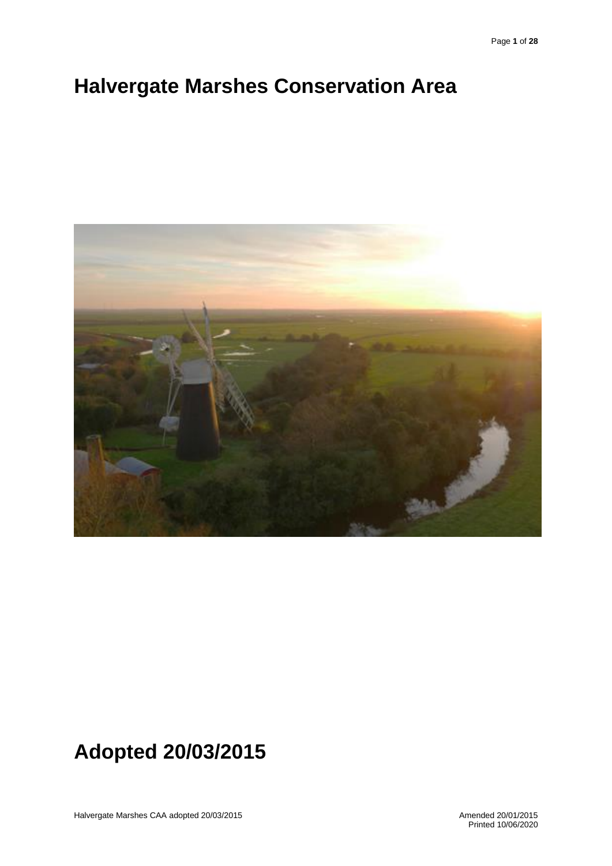# **Halvergate Marshes Conservation Area**



# **Adopted 20/03/2015**

Halvergate Marshes CAA adopted 20/03/2015

Amended 20/01/2015<br>Printed 10/06/2020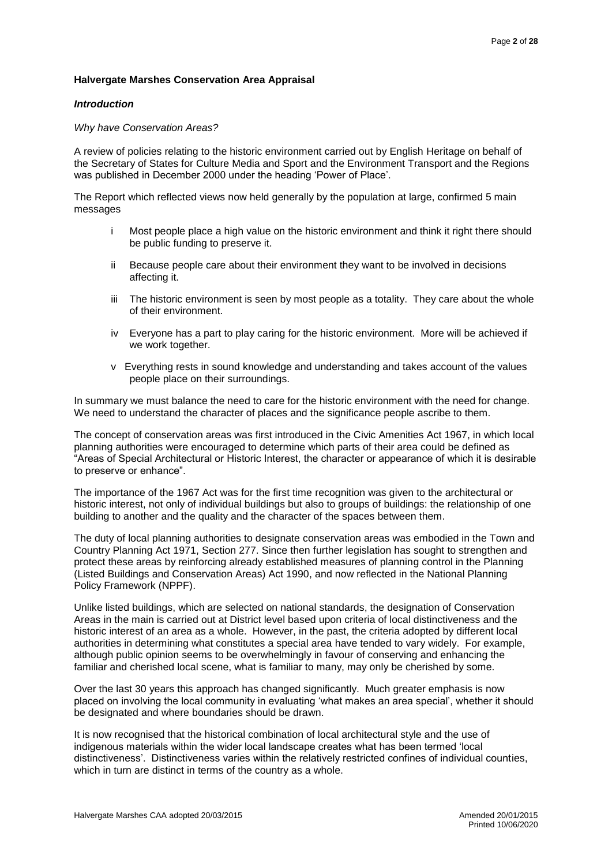## **Halvergate Marshes Conservation Area Appraisal**

#### *Introduction*

#### *Why have Conservation Areas?*

A review of policies relating to the historic environment carried out by English Heritage on behalf of the Secretary of States for Culture Media and Sport and the Environment Transport and the Regions was published in December 2000 under the heading 'Power of Place'.

The Report which reflected views now held generally by the population at large, confirmed 5 main messages

- i Most people place a high value on the historic environment and think it right there should be public funding to preserve it.
- ii Because people care about their environment they want to be involved in decisions affecting it.
- iii The historic environment is seen by most people as a totality. They care about the whole of their environment.
- iv Everyone has a part to play caring for the historic environment. More will be achieved if we work together.
- v Everything rests in sound knowledge and understanding and takes account of the values people place on their surroundings.

In summary we must balance the need to care for the historic environment with the need for change. We need to understand the character of places and the significance people ascribe to them.

The concept of conservation areas was first introduced in the Civic Amenities Act 1967, in which local planning authorities were encouraged to determine which parts of their area could be defined as "Areas of Special Architectural or Historic Interest, the character or appearance of which it is desirable to preserve or enhance".

The importance of the 1967 Act was for the first time recognition was given to the architectural or historic interest, not only of individual buildings but also to groups of buildings: the relationship of one building to another and the quality and the character of the spaces between them.

The duty of local planning authorities to designate conservation areas was embodied in the Town and Country Planning Act 1971, Section 277. Since then further legislation has sought to strengthen and protect these areas by reinforcing already established measures of planning control in the Planning (Listed Buildings and Conservation Areas) Act 1990, and now reflected in the National Planning Policy Framework (NPPF).

Unlike listed buildings, which are selected on national standards, the designation of Conservation Areas in the main is carried out at District level based upon criteria of local distinctiveness and the historic interest of an area as a whole. However, in the past, the criteria adopted by different local authorities in determining what constitutes a special area have tended to vary widely. For example, although public opinion seems to be overwhelmingly in favour of conserving and enhancing the familiar and cherished local scene, what is familiar to many, may only be cherished by some.

Over the last 30 years this approach has changed significantly. Much greater emphasis is now placed on involving the local community in evaluating 'what makes an area special', whether it should be designated and where boundaries should be drawn.

It is now recognised that the historical combination of local architectural style and the use of indigenous materials within the wider local landscape creates what has been termed 'local distinctiveness'. Distinctiveness varies within the relatively restricted confines of individual counties, which in turn are distinct in terms of the country as a whole.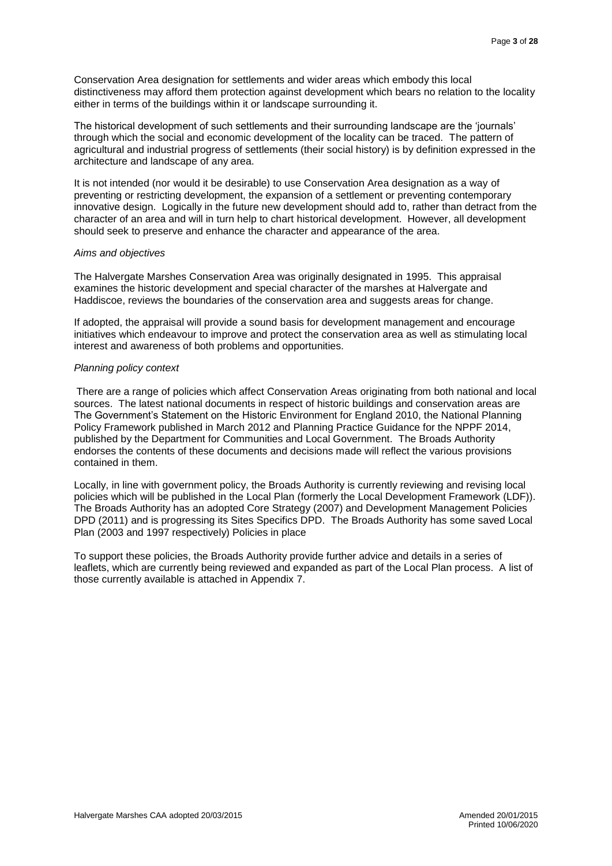Conservation Area designation for settlements and wider areas which embody this local distinctiveness may afford them protection against development which bears no relation to the locality either in terms of the buildings within it or landscape surrounding it.

The historical development of such settlements and their surrounding landscape are the 'journals' through which the social and economic development of the locality can be traced. The pattern of agricultural and industrial progress of settlements (their social history) is by definition expressed in the architecture and landscape of any area.

It is not intended (nor would it be desirable) to use Conservation Area designation as a way of preventing or restricting development, the expansion of a settlement or preventing contemporary innovative design. Logically in the future new development should add to, rather than detract from the character of an area and will in turn help to chart historical development. However, all development should seek to preserve and enhance the character and appearance of the area.

#### *Aims and objectives*

The Halvergate Marshes Conservation Area was originally designated in 1995. This appraisal examines the historic development and special character of the marshes at Halvergate and Haddiscoe, reviews the boundaries of the conservation area and suggests areas for change.

If adopted, the appraisal will provide a sound basis for development management and encourage initiatives which endeavour to improve and protect the conservation area as well as stimulating local interest and awareness of both problems and opportunities.

#### *Planning policy context*

There are a range of policies which affect Conservation Areas originating from both national and local sources. The latest national documents in respect of historic buildings and conservation areas are The Government's Statement on the Historic Environment for England 2010, the National Planning Policy Framework published in March 2012 and Planning Practice Guidance for the NPPF 2014, published by the Department for Communities and Local Government. The Broads Authority endorses the contents of these documents and decisions made will reflect the various provisions contained in them.

Locally, in line with government policy, the Broads Authority is currently reviewing and revising local policies which will be published in the Local Plan (formerly the Local Development Framework (LDF)). The Broads Authority has an adopted Core Strategy (2007) and Development Management Policies DPD (2011) and is progressing its Sites Specifics DPD. The Broads Authority has some saved Local Plan (2003 and 1997 respectively) Policies in place

To support these policies, the Broads Authority provide further advice and details in a series of leaflets, which are currently being reviewed and expanded as part of the Local Plan process. A list of those currently available is attached in Appendix 7.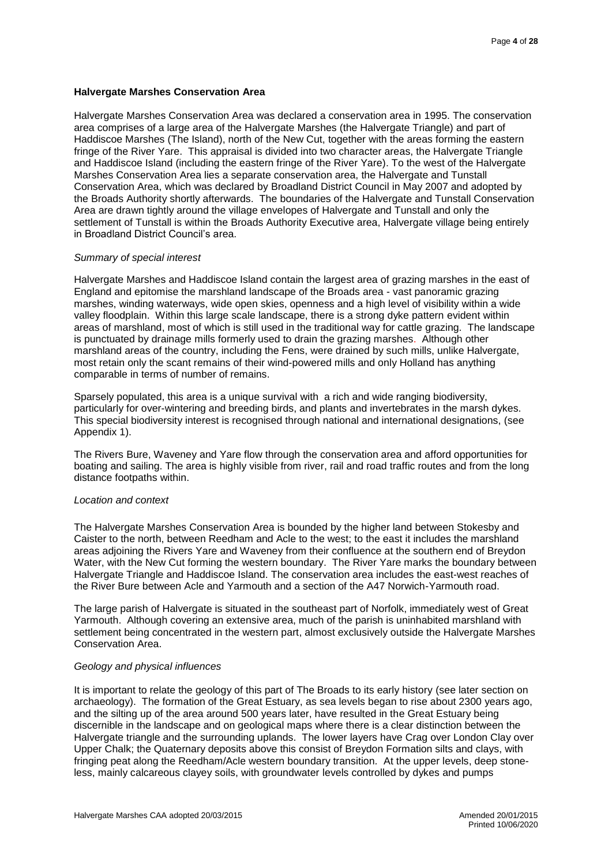#### **Halvergate Marshes Conservation Area**

Halvergate Marshes Conservation Area was declared a conservation area in 1995. The conservation area comprises of a large area of the Halvergate Marshes (the Halvergate Triangle) and part of Haddiscoe Marshes (The Island), north of the New Cut, together with the areas forming the eastern fringe of the River Yare. This appraisal is divided into two character areas, the Halvergate Triangle and Haddiscoe Island (including the eastern fringe of the River Yare). To the west of the Halvergate Marshes Conservation Area lies a separate conservation area, the Halvergate and Tunstall Conservation Area, which was declared by Broadland District Council in May 2007 and adopted by the Broads Authority shortly afterwards. The boundaries of the Halvergate and Tunstall Conservation Area are drawn tightly around the village envelopes of Halvergate and Tunstall and only the settlement of Tunstall is within the Broads Authority Executive area, Halvergate village being entirely in Broadland District Council's area.

#### *Summary of special interest*

Halvergate Marshes and Haddiscoe Island contain the largest area of grazing marshes in the east of England and epitomise the marshland landscape of the Broads area - vast panoramic grazing marshes, winding waterways, wide open skies, openness and a high level of visibility within a wide valley floodplain. Within this large scale landscape, there is a strong dyke pattern evident within areas of marshland, most of which is still used in the traditional way for cattle grazing. The landscape is punctuated by drainage mills formerly used to drain the grazing marshes. Although other marshland areas of the country, including the Fens, were drained by such mills, unlike Halvergate, most retain only the scant remains of their wind-powered mills and only Holland has anything comparable in terms of number of remains.

Sparsely populated, this area is a unique survival with a rich and wide ranging biodiversity, particularly for over-wintering and breeding birds, and plants and invertebrates in the marsh dykes. This special biodiversity interest is recognised through national and international designations, (see Appendix 1).

The Rivers Bure, Waveney and Yare flow through the conservation area and afford opportunities for boating and sailing. The area is highly visible from river, rail and road traffic routes and from the long distance footpaths within.

#### *Location and context*

The Halvergate Marshes Conservation Area is bounded by the higher land between Stokesby and Caister to the north, between Reedham and Acle to the west; to the east it includes the marshland areas adjoining the Rivers Yare and Waveney from their confluence at the southern end of Breydon Water, with the New Cut forming the western boundary. The River Yare marks the boundary between Halvergate Triangle and Haddiscoe Island. The conservation area includes the east-west reaches of the River Bure between Acle and Yarmouth and a section of the A47 Norwich-Yarmouth road.

The large parish of Halvergate is situated in the southeast part of Norfolk, immediately west of Great Yarmouth. Although covering an extensive area, much of the parish is uninhabited marshland with settlement being concentrated in the western part, almost exclusively outside the Halvergate Marshes Conservation Area.

#### *Geology and physical influences*

It is important to relate the geology of this part of The Broads to its early history (see later section on archaeology). The formation of the Great Estuary, as sea levels began to rise about 2300 years ago, and the silting up of the area around 500 years later, have resulted in the Great Estuary being discernible in the landscape and on geological maps where there is a clear distinction between the Halvergate triangle and the surrounding uplands. The lower layers have Crag over London Clay over Upper Chalk; the Quaternary deposits above this consist of Breydon Formation silts and clays, with fringing peat along the Reedham/Acle western boundary transition*.* At the upper levels, deep stoneless, mainly calcareous clayey soils, with groundwater levels controlled by dykes and pumps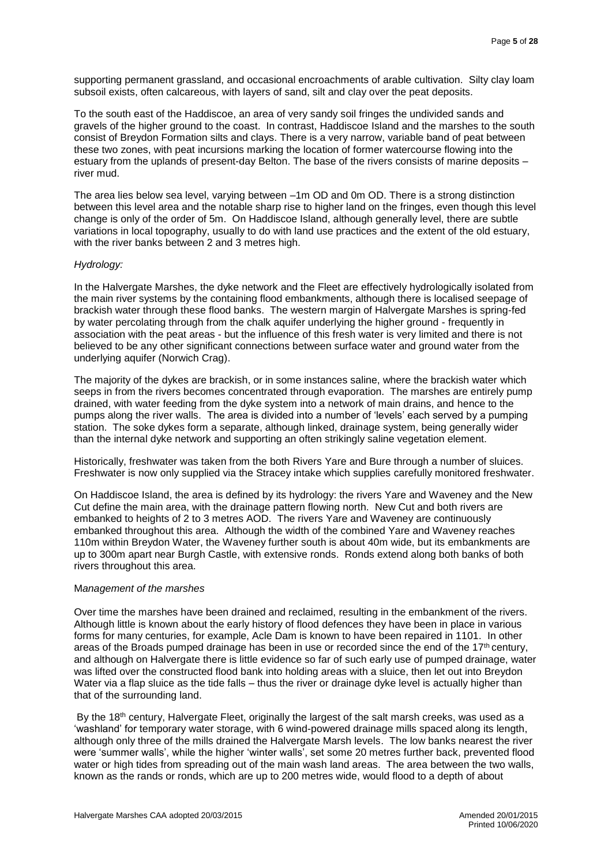supporting permanent grassland, and occasional encroachments of arable cultivation. Silty clay loam subsoil exists, often calcareous, with layers of sand, silt and clay over the peat deposits.

To the south east of the Haddiscoe, an area of very sandy soil fringes the undivided sands and gravels of the higher ground to the coast. In contrast, Haddiscoe Island and the marshes to the south consist of Breydon Formation silts and clays. There is a very narrow, variable band of peat between these two zones, with peat incursions marking the location of former watercourse flowing into the estuary from the uplands of present-day Belton. The base of the rivers consists of marine deposits – river mud.

The area lies below sea level, varying between –1m OD and 0m OD. There is a strong distinction between this level area and the notable sharp rise to higher land on the fringes, even though this level change is only of the order of 5m. On Haddiscoe Island, although generally level, there are subtle variations in local topography, usually to do with land use practices and the extent of the old estuary, with the river banks between 2 and 3 metres high.

#### *Hydrology:*

In the Halvergate Marshes, the dyke network and the Fleet are effectively hydrologically isolated from the main river systems by the containing flood embankments, although there is localised seepage of brackish water through these flood banks. The western margin of Halvergate Marshes is spring-fed by water percolating through from the chalk aquifer underlying the higher ground - frequently in association with the peat areas - but the influence of this fresh water is very limited and there is not believed to be any other significant connections between surface water and ground water from the underlying aquifer (Norwich Crag).

The majority of the dykes are brackish, or in some instances saline, where the brackish water which seeps in from the rivers becomes concentrated through evaporation. The marshes are entirely pump drained, with water feeding from the dyke system into a network of main drains, and hence to the pumps along the river walls. The area is divided into a number of 'levels' each served by a pumping station. The soke dykes form a separate, although linked, drainage system, being generally wider than the internal dyke network and supporting an often strikingly saline vegetation element.

Historically, freshwater was taken from the both Rivers Yare and Bure through a number of sluices. Freshwater is now only supplied via the Stracey intake which supplies carefully monitored freshwater.

On Haddiscoe Island, the area is defined by its hydrology: the rivers Yare and Waveney and the New Cut define the main area, with the drainage pattern flowing north. New Cut and both rivers are embanked to heights of 2 to 3 metres AOD. The rivers Yare and Waveney are continuously embanked throughout this area. Although the width of the combined Yare and Waveney reaches 110m within Breydon Water, the Waveney further south is about 40m wide, but its embankments are up to 300m apart near Burgh Castle, with extensive ronds. Ronds extend along both banks of both rivers throughout this area.

#### M*anagement of the marshes*

Over time the marshes have been drained and reclaimed, resulting in the embankment of the rivers. Although little is known about the early history of flood defences they have been in place in various forms for many centuries, for example, Acle Dam is known to have been repaired in 1101. In other areas of the Broads pumped drainage has been in use or recorded since the end of the  $17<sup>th</sup>$  century, and although on Halvergate there is little evidence so far of such early use of pumped drainage, water was lifted over the constructed flood bank into holding areas with a sluice, then let out into Breydon Water via a flap sluice as the tide falls – thus the river or drainage dyke level is actually higher than that of the surrounding land.

By the 18<sup>th</sup> century, Halvergate Fleet, originally the largest of the salt marsh creeks, was used as a 'washland' for temporary water storage, with 6 wind-powered drainage mills spaced along its length, although only three of the mills drained the Halvergate Marsh levels. The low banks nearest the river were 'summer walls', while the higher 'winter walls', set some 20 metres further back, prevented flood water or high tides from spreading out of the main wash land areas. The area between the two walls, known as the rands or ronds, which are up to 200 metres wide, would flood to a depth of about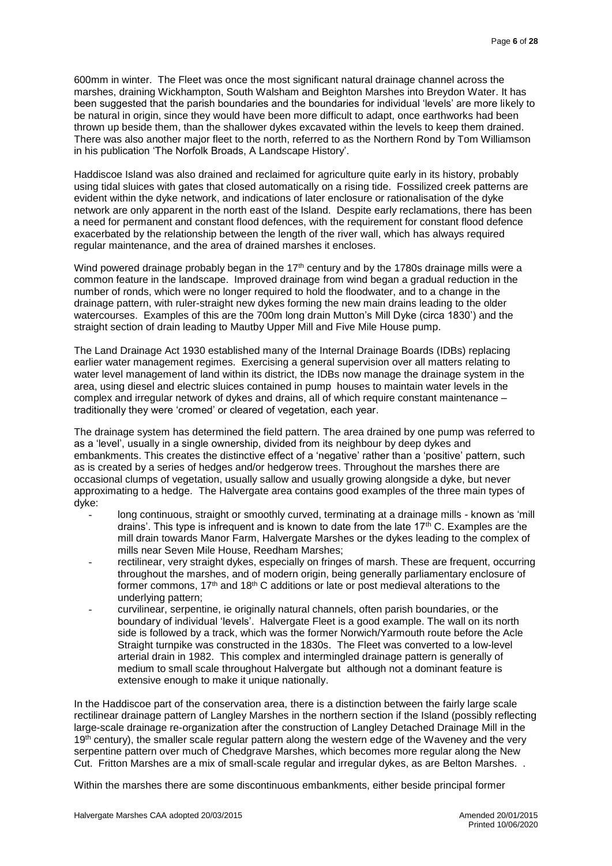600mm in winter. The Fleet was once the most significant natural drainage channel across the marshes, draining Wickhampton, South Walsham and Beighton Marshes into Breydon Water. It has been suggested that the parish boundaries and the boundaries for individual 'levels' are more likely to be natural in origin, since they would have been more difficult to adapt, once earthworks had been thrown up beside them, than the shallower dykes excavated within the levels to keep them drained. There was also another major fleet to the north, referred to as the Northern Rond by Tom Williamson in his publication 'The Norfolk Broads, A Landscape History'.

Haddiscoe Island was also drained and reclaimed for agriculture quite early in its history, probably using tidal sluices with gates that closed automatically on a rising tide. Fossilized creek patterns are evident within the dyke network, and indications of later enclosure or rationalisation of the dyke network are only apparent in the north east of the Island. Despite early reclamations, there has been a need for permanent and constant flood defences, with the requirement for constant flood defence exacerbated by the relationship between the length of the river wall, which has always required regular maintenance, and the area of drained marshes it encloses.

Wind powered drainage probably began in the 17<sup>th</sup> century and by the 1780s drainage mills were a common feature in the landscape. Improved drainage from wind began a gradual reduction in the number of ronds, which were no longer required to hold the floodwater, and to a change in the drainage pattern, with ruler-straight new dykes forming the new main drains leading to the older watercourses. Examples of this are the 700m long drain Mutton's Mill Dyke (circa 1830') and the straight section of drain leading to Mautby Upper Mill and Five Mile House pump.

The Land Drainage Act 1930 established many of the Internal Drainage Boards (IDBs) replacing earlier water management regimes. Exercising a general supervision over all matters relating to water level management of land within its district, the IDBs now manage the drainage system in the area, using diesel and electric sluices contained in pump houses to maintain water levels in the complex and irregular network of dykes and drains, all of which require constant maintenance – traditionally they were 'cromed' or cleared of vegetation, each year.

The drainage system has determined the field pattern. The area drained by one pump was referred to as a 'level', usually in a single ownership, divided from its neighbour by deep dykes and embankments. This creates the distinctive effect of a 'negative' rather than a 'positive' pattern, such as is created by a series of hedges and/or hedgerow trees. Throughout the marshes there are occasional clumps of vegetation, usually sallow and usually growing alongside a dyke, but never approximating to a hedge. The Halvergate area contains good examples of the three main types of dyke:

- long continuous, straight or smoothly curved, terminating at a drainage mills known as 'mill drains'. This type is infrequent and is known to date from the late  $17<sup>th</sup>$  C. Examples are the mill drain towards Manor Farm, Halvergate Marshes or the dykes leading to the complex of mills near Seven Mile House, Reedham Marshes;
- rectilinear, very straight dykes, especially on fringes of marsh. These are frequent, occurring throughout the marshes, and of modern origin, being generally parliamentary enclosure of former commons,  $17<sup>th</sup>$  and  $18<sup>th</sup>$  C additions or late or post medieval alterations to the underlying pattern;
- curvilinear, serpentine, ie originally natural channels, often parish boundaries, or the boundary of individual 'levels'. Halvergate Fleet is a good example. The wall on its north side is followed by a track, which was the former Norwich/Yarmouth route before the Acle Straight turnpike was constructed in the 1830s. The Fleet was converted to a low-level arterial drain in 1982. This complex and intermingled drainage pattern is generally of medium to small scale throughout Halvergate but although not a dominant feature is extensive enough to make it unique nationally.

In the Haddiscoe part of the conservation area, there is a distinction between the fairly large scale rectilinear drainage pattern of Langley Marshes in the northern section if the Island (possibly reflecting large-scale drainage re-organization after the construction of Langley Detached Drainage Mill in the 19<sup>th</sup> century), the smaller scale regular pattern along the western edge of the Waveney and the very serpentine pattern over much of Chedgrave Marshes, which becomes more regular along the New Cut. Fritton Marshes are a mix of small-scale regular and irregular dykes, as are Belton Marshes. .

Within the marshes there are some discontinuous embankments, either beside principal former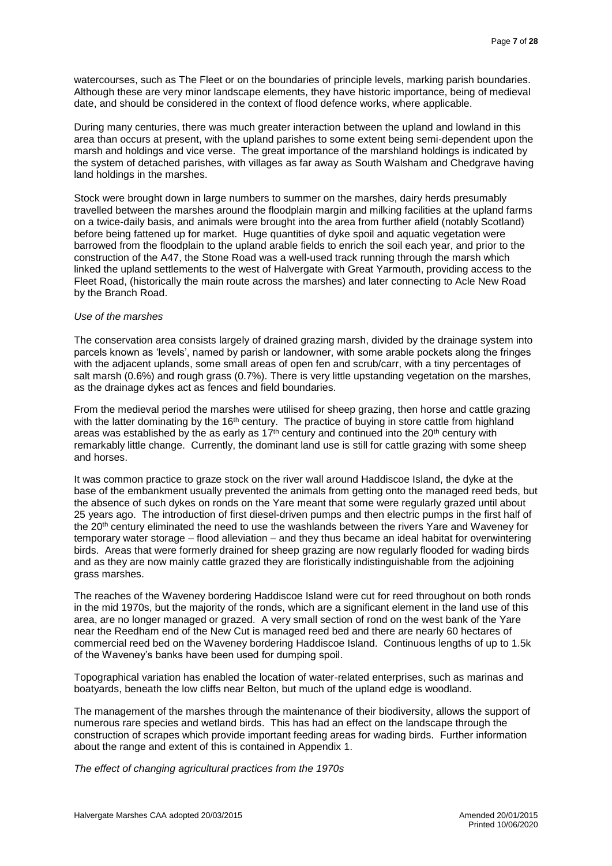watercourses, such as The Fleet or on the boundaries of principle levels, marking parish boundaries. Although these are very minor landscape elements, they have historic importance, being of medieval date, and should be considered in the context of flood defence works, where applicable.

During many centuries, there was much greater interaction between the upland and lowland in this area than occurs at present, with the upland parishes to some extent being semi-dependent upon the marsh and holdings and vice verse. The great importance of the marshland holdings is indicated by the system of detached parishes, with villages as far away as South Walsham and Chedgrave having land holdings in the marshes.

Stock were brought down in large numbers to summer on the marshes, dairy herds presumably travelled between the marshes around the floodplain margin and milking facilities at the upland farms on a twice-daily basis, and animals were brought into the area from further afield (notably Scotland) before being fattened up for market. Huge quantities of dyke spoil and aquatic vegetation were barrowed from the floodplain to the upland arable fields to enrich the soil each year, and prior to the construction of the A47, the Stone Road was a well-used track running through the marsh which linked the upland settlements to the west of Halvergate with Great Yarmouth, providing access to the Fleet Road, (historically the main route across the marshes) and later connecting to Acle New Road by the Branch Road.

#### *Use of the marshes*

The conservation area consists largely of drained grazing marsh, divided by the drainage system into parcels known as 'levels', named by parish or landowner, with some arable pockets along the fringes with the adjacent uplands, some small areas of open fen and scrub/carr, with a tiny percentages of salt marsh (0.6%) and rough grass (0.7%). There is very little upstanding vegetation on the marshes, as the drainage dykes act as fences and field boundaries.

From the medieval period the marshes were utilised for sheep grazing, then horse and cattle grazing with the latter dominating by the 16<sup>th</sup> century. The practice of buying in store cattle from highland areas was established by the as early as  $17<sup>th</sup>$  century and continued into the  $20<sup>th</sup>$  century with remarkably little change. Currently, the dominant land use is still for cattle grazing with some sheep and horses.

It was common practice to graze stock on the river wall around Haddiscoe Island, the dyke at the base of the embankment usually prevented the animals from getting onto the managed reed beds, but the absence of such dykes on ronds on the Yare meant that some were regularly grazed until about 25 years ago. The introduction of first diesel-driven pumps and then electric pumps in the first half of the 20<sup>th</sup> century eliminated the need to use the washlands between the rivers Yare and Waveney for temporary water storage – flood alleviation – and they thus became an ideal habitat for overwintering birds. Areas that were formerly drained for sheep grazing are now regularly flooded for wading birds and as they are now mainly cattle grazed they are floristically indistinguishable from the adjoining grass marshes.

The reaches of the Waveney bordering Haddiscoe Island were cut for reed throughout on both ronds in the mid 1970s, but the majority of the ronds, which are a significant element in the land use of this area, are no longer managed or grazed. A very small section of rond on the west bank of the Yare near the Reedham end of the New Cut is managed reed bed and there are nearly 60 hectares of commercial reed bed on the Waveney bordering Haddiscoe Island. Continuous lengths of up to 1.5k of the Waveney's banks have been used for dumping spoil.

Topographical variation has enabled the location of water-related enterprises, such as marinas and boatyards, beneath the low cliffs near Belton, but much of the upland edge is woodland.

The management of the marshes through the maintenance of their biodiversity, allows the support of numerous rare species and wetland birds. This has had an effect on the landscape through the construction of scrapes which provide important feeding areas for wading birds. Further information about the range and extent of this is contained in Appendix 1.

*The effect of changing agricultural practices from the 1970s*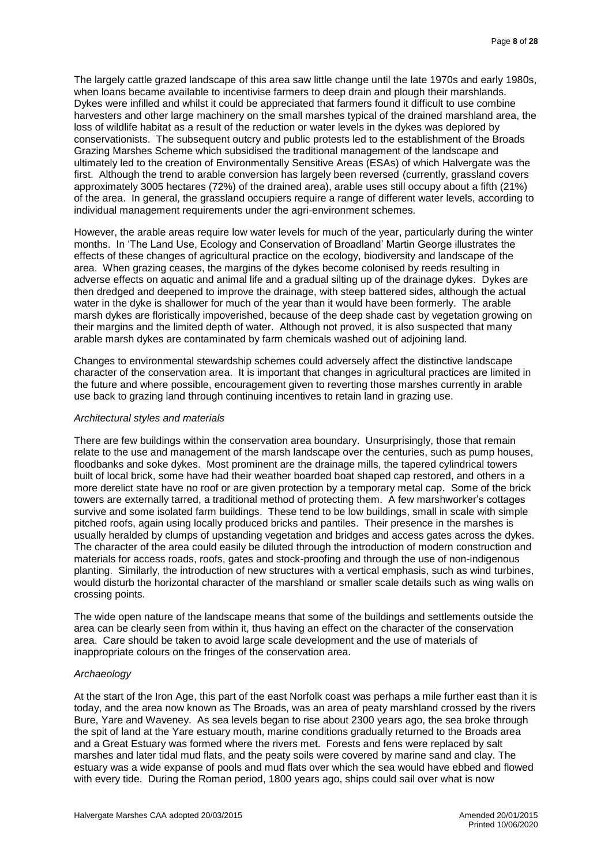The largely cattle grazed landscape of this area saw little change until the late 1970s and early 1980s, when loans became available to incentivise farmers to deep drain and plough their marshlands. Dykes were infilled and whilst it could be appreciated that farmers found it difficult to use combine harvesters and other large machinery on the small marshes typical of the drained marshland area, the loss of wildlife habitat as a result of the reduction or water levels in the dykes was deplored by conservationists. The subsequent outcry and public protests led to the establishment of the Broads Grazing Marshes Scheme which subsidised the traditional management of the landscape and ultimately led to the creation of Environmentally Sensitive Areas (ESAs) of which Halvergate was the first. Although the trend to arable conversion has largely been reversed (currently, grassland covers approximately 3005 hectares (72%) of the drained area), arable uses still occupy about a fifth (21%) of the area. In general, the grassland occupiers require a range of different water levels, according to individual management requirements under the agri-environment schemes.

However, the arable areas require low water levels for much of the year, particularly during the winter months. In 'The Land Use, Ecology and Conservation of Broadland' Martin George illustrates the effects of these changes of agricultural practice on the ecology, biodiversity and landscape of the area. When grazing ceases, the margins of the dykes become colonised by reeds resulting in adverse effects on aquatic and animal life and a gradual silting up of the drainage dykes. Dykes are then dredged and deepened to improve the drainage, with steep battered sides, although the actual water in the dyke is shallower for much of the year than it would have been formerly. The arable marsh dykes are floristically impoverished, because of the deep shade cast by vegetation growing on their margins and the limited depth of water. Although not proved, it is also suspected that many arable marsh dykes are contaminated by farm chemicals washed out of adjoining land.

Changes to environmental stewardship schemes could adversely affect the distinctive landscape character of the conservation area. It is important that changes in agricultural practices are limited in the future and where possible, encouragement given to reverting those marshes currently in arable use back to grazing land through continuing incentives to retain land in grazing use.

#### *Architectural styles and materials*

There are few buildings within the conservation area boundary. Unsurprisingly, those that remain relate to the use and management of the marsh landscape over the centuries, such as pump houses, floodbanks and soke dykes. Most prominent are the drainage mills, the tapered cylindrical towers built of local brick, some have had their weather boarded boat shaped cap restored, and others in a more derelict state have no roof or are given protection by a temporary metal cap. Some of the brick towers are externally tarred, a traditional method of protecting them. A few marshworker's cottages survive and some isolated farm buildings. These tend to be low buildings, small in scale with simple pitched roofs, again using locally produced bricks and pantiles. Their presence in the marshes is usually heralded by clumps of upstanding vegetation and bridges and access gates across the dykes. The character of the area could easily be diluted through the introduction of modern construction and materials for access roads, roofs, gates and stock-proofing and through the use of non-indigenous planting. Similarly, the introduction of new structures with a vertical emphasis, such as wind turbines, would disturb the horizontal character of the marshland or smaller scale details such as wing walls on crossing points.

The wide open nature of the landscape means that some of the buildings and settlements outside the area can be clearly seen from within it, thus having an effect on the character of the conservation area. Care should be taken to avoid large scale development and the use of materials of inappropriate colours on the fringes of the conservation area.

#### *Archaeology*

At the start of the Iron Age, this part of the east Norfolk coast was perhaps a mile further east than it is today, and the area now known as The Broads, was an area of peaty marshland crossed by the rivers Bure, Yare and Waveney. As sea levels began to rise about 2300 years ago, the sea broke through the spit of land at the Yare estuary mouth, marine conditions gradually returned to the Broads area and a Great Estuary was formed where the rivers met. Forests and fens were replaced by salt marshes and later tidal mud flats, and the peaty soils were covered by marine sand and clay. The estuary was a wide expanse of pools and mud flats over which the sea would have ebbed and flowed with every tide. During the Roman period, 1800 years ago, ships could sail over what is now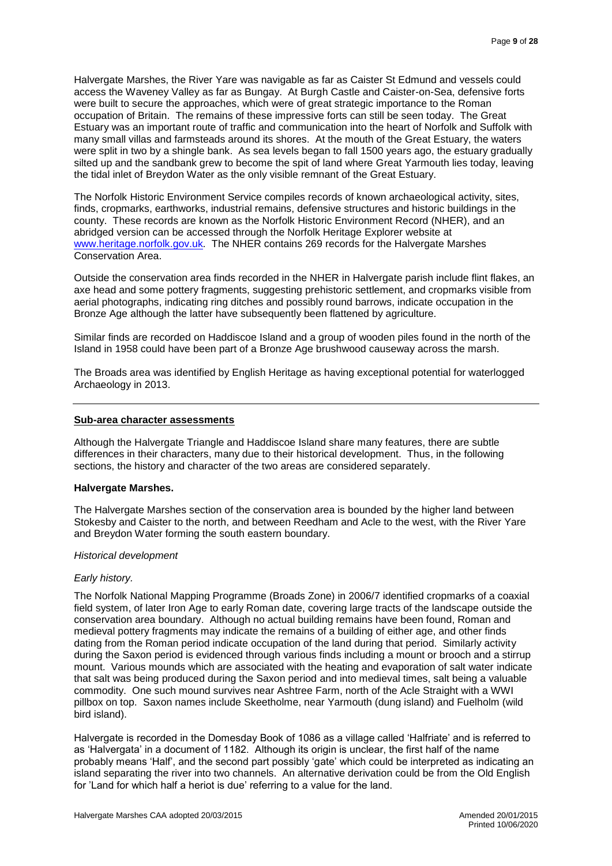Halvergate Marshes, the River Yare was navigable as far as Caister St Edmund and vessels could access the Waveney Valley as far as Bungay. At Burgh Castle and Caister-on-Sea, defensive forts were built to secure the approaches, which were of great strategic importance to the Roman occupation of Britain. The remains of these impressive forts can still be seen today. The Great Estuary was an important route of traffic and communication into the heart of Norfolk and Suffolk with many small villas and farmsteads around its shores. At the mouth of the Great Estuary, the waters were split in two by a shingle bank. As sea levels began to fall 1500 years ago, the estuary gradually silted up and the sandbank grew to become the spit of land where Great Yarmouth lies today, leaving the tidal inlet of Breydon Water as the only visible remnant of the Great Estuary.

The Norfolk Historic Environment Service compiles records of known archaeological activity, sites, finds, cropmarks, earthworks, industrial remains, defensive structures and historic buildings in the county. These records are known as the Norfolk Historic Environment Record (NHER), and an abridged version can be accessed through the Norfolk Heritage Explorer website at [www.heritage.norfolk.gov.uk](http://www.heritage.norfolk.gov.uk/)*.* The NHER contains 269 records for the Halvergate Marshes Conservation Area.

Outside the conservation area finds recorded in the NHER in Halvergate parish include flint flakes, an axe head and some pottery fragments, suggesting prehistoric settlement, and cropmarks visible from aerial photographs, indicating ring ditches and possibly round barrows, indicate occupation in the Bronze Age although the latter have subsequently been flattened by agriculture*.*

Similar finds are recorded on Haddiscoe Island and a group of wooden piles found in the north of the Island in 1958 could have been part of a Bronze Age brushwood causeway across the marsh.

The Broads area was identified by English Heritage as having exceptional potential for waterlogged Archaeology in 2013.

#### **Sub-area character assessments**

Although the Halvergate Triangle and Haddiscoe Island share many features, there are subtle differences in their characters, many due to their historical development. Thus, in the following sections, the history and character of the two areas are considered separately.

#### **Halvergate Marshes.**

The Halvergate Marshes section of the conservation area is bounded by the higher land between Stokesby and Caister to the north, and between Reedham and Acle to the west, with the River Yare and Breydon Water forming the south eastern boundary.

#### *Historical development*

#### *Early history.*

The Norfolk National Mapping Programme (Broads Zone) in 2006/7 identified cropmarks of a coaxial field system, of later Iron Age to early Roman date, covering large tracts of the landscape outside the conservation area boundary. Although no actual building remains have been found, Roman and medieval pottery fragments may indicate the remains of a building of either age, and other finds dating from the Roman period indicate occupation of the land during that period. Similarly activity during the Saxon period is evidenced through various finds including a mount or brooch and a stirrup mount. Various mounds which are associated with the heating and evaporation of salt water indicate that salt was being produced during the Saxon period and into medieval times, salt being a valuable commodity. One such mound survives near Ashtree Farm, north of the Acle Straight with a WWI pillbox on top. Saxon names include Skeetholme, near Yarmouth (dung island) and Fuelholm (wild bird island).

Halvergate is recorded in the Domesday Book of 1086 as a village called 'Halfriate' and is referred to as 'Halvergata' in a document of 1182. Although its origin is unclear, the first half of the name probably means 'Half', and the second part possibly 'gate' which could be interpreted as indicating an island separating the river into two channels. An alternative derivation could be from the Old English for 'Land for which half a heriot is due' referring to a value for the land.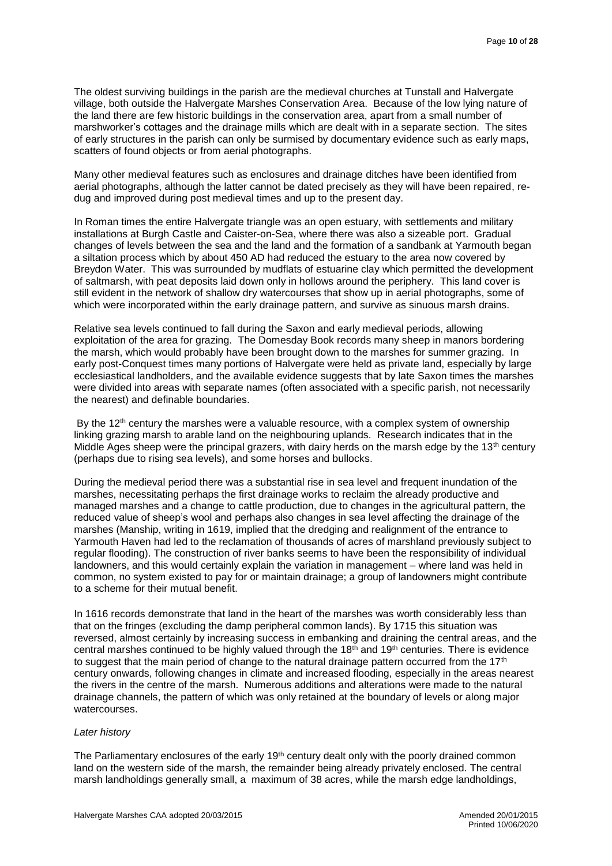The oldest surviving buildings in the parish are the medieval churches at Tunstall and Halvergate village, both outside the Halvergate Marshes Conservation Area. Because of the low lying nature of the land there are few historic buildings in the conservation area, apart from a small number of marshworker's cottages and the drainage mills which are dealt with in a separate section. The sites of early structures in the parish can only be surmised by documentary evidence such as early maps, scatters of found objects or from aerial photographs.

Many other medieval features such as enclosures and drainage ditches have been identified from aerial photographs, although the latter cannot be dated precisely as they will have been repaired, redug and improved during post medieval times and up to the present day.

In Roman times the entire Halvergate triangle was an open estuary, with settlements and military installations at Burgh Castle and Caister-on-Sea, where there was also a sizeable port. Gradual changes of levels between the sea and the land and the formation of a sandbank at Yarmouth began a siltation process which by about 450 AD had reduced the estuary to the area now covered by Breydon Water. This was surrounded by mudflats of estuarine clay which permitted the development of saltmarsh, with peat deposits laid down only in hollows around the periphery. This land cover is still evident in the network of shallow dry watercourses that show up in aerial photographs, some of which were incorporated within the early drainage pattern, and survive as sinuous marsh drains.

Relative sea levels continued to fall during the Saxon and early medieval periods, allowing exploitation of the area for grazing. The Domesday Book records many sheep in manors bordering the marsh, which would probably have been brought down to the marshes for summer grazing. In early post-Conquest times many portions of Halvergate were held as private land, especially by large ecclesiastical landholders, and the available evidence suggests that by late Saxon times the marshes were divided into areas with separate names (often associated with a specific parish, not necessarily the nearest) and definable boundaries.

By the  $12<sup>th</sup>$  century the marshes were a valuable resource, with a complex system of ownership linking grazing marsh to arable land on the neighbouring uplands. Research indicates that in the Middle Ages sheep were the principal grazers, with dairy herds on the marsh edge by the  $13<sup>th</sup>$  century (perhaps due to rising sea levels), and some horses and bullocks.

During the medieval period there was a substantial rise in sea level and frequent inundation of the marshes, necessitating perhaps the first drainage works to reclaim the already productive and managed marshes and a change to cattle production, due to changes in the agricultural pattern, the reduced value of sheep's wool and perhaps also changes in sea level affecting the drainage of the marshes (Manship, writing in 1619, implied that the dredging and realignment of the entrance to Yarmouth Haven had led to the reclamation of thousands of acres of marshland previously subject to regular flooding). The construction of river banks seems to have been the responsibility of individual landowners, and this would certainly explain the variation in management – where land was held in common, no system existed to pay for or maintain drainage; a group of landowners might contribute to a scheme for their mutual benefit.

In 1616 records demonstrate that land in the heart of the marshes was worth considerably less than that on the fringes (excluding the damp peripheral common lands). By 1715 this situation was reversed, almost certainly by increasing success in embanking and draining the central areas, and the central marshes continued to be highly valued through the  $18<sup>th</sup>$  and  $19<sup>th</sup>$  centuries. There is evidence to suggest that the main period of change to the natural drainage pattern occurred from the 17<sup>th</sup> century onwards, following changes in climate and increased flooding, especially in the areas nearest the rivers in the centre of the marsh. Numerous additions and alterations were made to the natural drainage channels, the pattern of which was only retained at the boundary of levels or along major watercourses.

## *Later history*

The Parliamentary enclosures of the early 19<sup>th</sup> century dealt only with the poorly drained common land on the western side of the marsh, the remainder being already privately enclosed. The central marsh landholdings generally small, a maximum of 38 acres, while the marsh edge landholdings,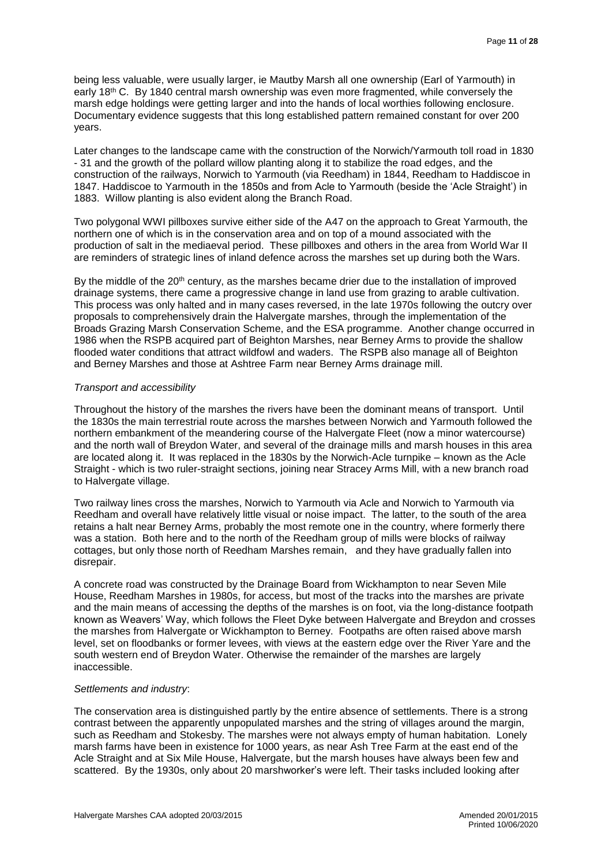being less valuable, were usually larger, ie Mautby Marsh all one ownership (Earl of Yarmouth) in early 18<sup>th</sup> C. By 1840 central marsh ownership was even more fragmented, while conversely the marsh edge holdings were getting larger and into the hands of local worthies following enclosure. Documentary evidence suggests that this long established pattern remained constant for over 200 years.

Later changes to the landscape came with the construction of the Norwich/Yarmouth toll road in 1830 - 31 and the growth of the pollard willow planting along it to stabilize the road edges, and the construction of the railways, Norwich to Yarmouth (via Reedham) in 1844, Reedham to Haddiscoe in 1847. Haddiscoe to Yarmouth in the 1850s and from Acle to Yarmouth (beside the 'Acle Straight') in 1883. Willow planting is also evident along the Branch Road.

Two polygonal WWI pillboxes survive either side of the A47 on the approach to Great Yarmouth, the northern one of which is in the conservation area and on top of a mound associated with the production of salt in the mediaeval period. These pillboxes and others in the area from World War II are reminders of strategic lines of inland defence across the marshes set up during both the Wars.

By the middle of the 20<sup>th</sup> century, as the marshes became drier due to the installation of improved drainage systems, there came a progressive change in land use from grazing to arable cultivation. This process was only halted and in many cases reversed, in the late 1970s following the outcry over proposals to comprehensively drain the Halvergate marshes, through the implementation of the Broads Grazing Marsh Conservation Scheme, and the ESA programme. Another change occurred in 1986 when the RSPB acquired part of Beighton Marshes, near Berney Arms to provide the shallow flooded water conditions that attract wildfowl and waders. The RSPB also manage all of Beighton and Berney Marshes and those at Ashtree Farm near Berney Arms drainage mill.

## *Transport and accessibility*

Throughout the history of the marshes the rivers have been the dominant means of transport. Until the 1830s the main terrestrial route across the marshes between Norwich and Yarmouth followed the northern embankment of the meandering course of the Halvergate Fleet (now a minor watercourse) and the north wall of Breydon Water, and several of the drainage mills and marsh houses in this area are located along it. It was replaced in the 1830s by the Norwich-Acle turnpike – known as the Acle Straight - which is two ruler-straight sections, joining near Stracey Arms Mill, with a new branch road to Halvergate village.

Two railway lines cross the marshes, Norwich to Yarmouth via Acle and Norwich to Yarmouth via Reedham and overall have relatively little visual or noise impact. The latter, to the south of the area retains a halt near Berney Arms, probably the most remote one in the country, where formerly there was a station. Both here and to the north of the Reedham group of mills were blocks of railway cottages, but only those north of Reedham Marshes remain, and they have gradually fallen into disrepair.

A concrete road was constructed by the Drainage Board from Wickhampton to near Seven Mile House, Reedham Marshes in 1980s, for access, but most of the tracks into the marshes are private and the main means of accessing the depths of the marshes is on foot, via the long-distance footpath known as Weavers' Way, which follows the Fleet Dyke between Halvergate and Breydon and crosses the marshes from Halvergate or Wickhampton to Berney. Footpaths are often raised above marsh level, set on floodbanks or former levees, with views at the eastern edge over the River Yare and the south western end of Breydon Water. Otherwise the remainder of the marshes are largely inaccessible.

#### *Settlements and industry*:

The conservation area is distinguished partly by the entire absence of settlements. There is a strong contrast between the apparently unpopulated marshes and the string of villages around the margin, such as Reedham and Stokesby. The marshes were not always empty of human habitation. Lonely marsh farms have been in existence for 1000 years, as near Ash Tree Farm at the east end of the Acle Straight and at Six Mile House, Halvergate, but the marsh houses have always been few and scattered. By the 1930s, only about 20 marshworker's were left. Their tasks included looking after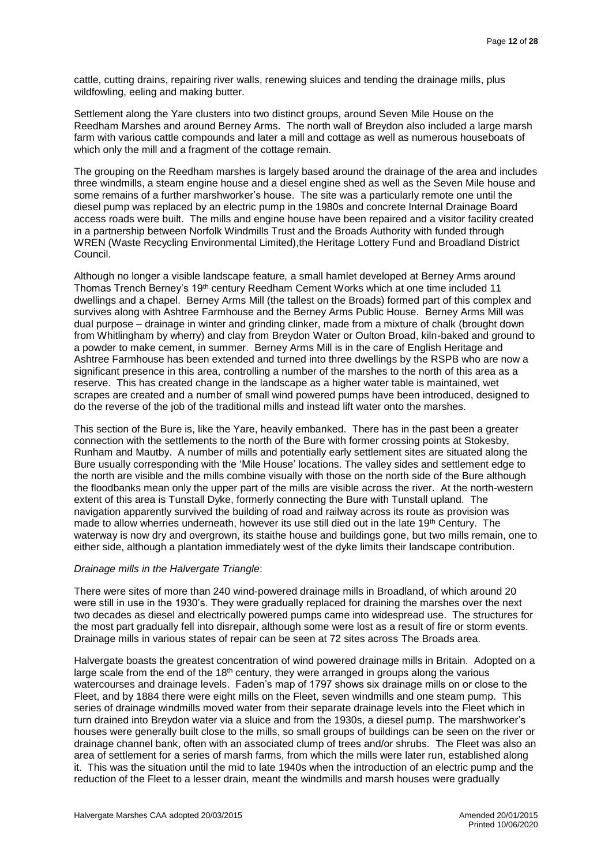cattle, cutting drains, repairing river walls, renewing sluices and tending the drainage mills, plus wildfowling, eeling and making butter.

Settlement along the Yare clusters into two distinct groups, around Seven Mile House on the Reedham Marshes and around Berney Arms. The north wall of Breydon also included a large marsh farm with various cattle compounds and later a mill and cottage as well as numerous houseboats of which only the mill and a fragment of the cottage remain.

The grouping on the Reedham marshes is largely based around the drainage of the area and includes three windmills, a steam engine house and a diesel engine shed as well as the Seven Mile house and some remains of a further marshworker's house. The site was a particularly remote one until the diesel pump was replaced by an electric pump in the 1980s and concrete Internal Drainage Board access roads were built. The mills and engine house have been repaired and a visitor facility created in a partnership between Norfolk Windmills Trust and the Broads Authority with funded through WREN (Waste Recycling Environmental Limited),the Heritage Lottery Fund and Broadland District Council.

Although no longer a visible landscape feature*,* a small hamlet developed at Berney Arms around Thomas Trench Berney's 19th century Reedham Cement Works which at one time included 11 dwellings and a chapel. Berney Arms Mill (the tallest on the Broads) formed part of this complex and survives along with Ashtree Farmhouse and the Berney Arms Public House. Berney Arms Mill was dual purpose – drainage in winter and grinding clinker, made from a mixture of chalk (brought down from Whitlingham by wherry) and clay from Breydon Water or Oulton Broad, kiln-baked and ground to a powder to make cement, in summer. Berney Arms Mill is in the care of English Heritage and Ashtree Farmhouse has been extended and turned into three dwellings by the RSPB who are now a significant presence in this area, controlling a number of the marshes to the north of this area as a reserve. This has created change in the landscape as a higher water table is maintained, wet scrapes are created and a number of small wind powered pumps have been introduced, designed to do the reverse of the job of the traditional mills and instead lift water onto the marshes.

This section of the Bure is, like the Yare, heavily embanked. There has in the past been a greater connection with the settlements to the north of the Bure with former crossing points at Stokesby, Runham and Mautby. A number of mills and potentially early settlement sites are situated along the Bure usually corresponding with the 'Mile House' locations. The valley sides and settlement edge to the north are visible and the mills combine visually with those on the north side of the Bure although the floodbanks mean only the upper part of the mills are visible across the river. At the north-western extent of this area is Tunstall Dyke, formerly connecting the Bure with Tunstall upland. The navigation apparently survived the building of road and railway across its route as provision was made to allow wherries underneath, however its use still died out in the late 19<sup>th</sup> Century. The waterway is now dry and overgrown, its staithe house and buildings gone, but two mills remain, one to either side, although a plantation immediately west of the dyke limits their landscape contribution.

#### *Drainage mills in the Halvergate Triangle*:

There were sites of more than 240 wind-powered drainage mills in Broadland, of which around 20 were still in use in the 1930's. They were gradually replaced for draining the marshes over the next two decades as diesel and electrically powered pumps came into widespread use. The structures for the most part gradually fell into disrepair, although some were lost as a result of fire or storm events. Drainage mills in various states of repair can be seen at 72 sites across The Broads area.

Halvergate boasts the greatest concentration of wind powered drainage mills in Britain. Adopted on a large scale from the end of the 18<sup>th</sup> century, they were arranged in groups along the various watercourses and drainage levels. Faden's map of 1797 shows six drainage mills on or close to the Fleet, and by 1884 there were eight mills on the Fleet, seven windmills and one steam pump. This series of drainage windmills moved water from their separate drainage levels into the Fleet which in turn drained into Breydon water via a sluice and from the 1930s, a diesel pump. The marshworker's houses were generally built close to the mills, so small groups of buildings can be seen on the river or drainage channel bank, often with an associated clump of trees and/or shrubs. The Fleet was also an area of settlement for a series of marsh farms, from which the mills were later run, established along it. This was the situation until the mid to late 1940s when the introduction of an electric pump and the reduction of the Fleet to a lesser drain, meant the windmills and marsh houses were gradually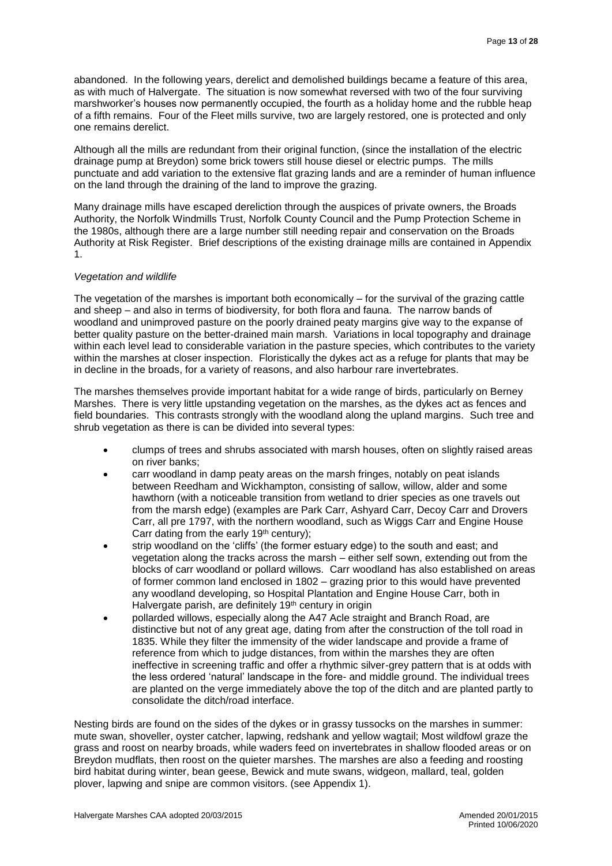abandoned. In the following years, derelict and demolished buildings became a feature of this area, as with much of Halvergate. The situation is now somewhat reversed with two of the four surviving marshworker's houses now permanently occupied, the fourth as a holiday home and the rubble heap of a fifth remains. Four of the Fleet mills survive, two are largely restored, one is protected and only one remains derelict.

Although all the mills are redundant from their original function, (since the installation of the electric drainage pump at Breydon) some brick towers still house diesel or electric pumps. The mills punctuate and add variation to the extensive flat grazing lands and are a reminder of human influence on the land through the draining of the land to improve the grazing.

Many drainage mills have escaped dereliction through the auspices of private owners, the Broads Authority, the Norfolk Windmills Trust, Norfolk County Council and the Pump Protection Scheme in the 1980s, although there are a large number still needing repair and conservation on the Broads Authority at Risk Register. Brief descriptions of the existing drainage mills are contained in Appendix 1.

#### *Vegetation and wildlife*

The vegetation of the marshes is important both economically – for the survival of the grazing cattle and sheep – and also in terms of biodiversity, for both flora and fauna. The narrow bands of woodland and unimproved pasture on the poorly drained peaty margins give way to the expanse of better quality pasture on the better-drained main marsh. Variations in local topography and drainage within each level lead to considerable variation in the pasture species, which contributes to the variety within the marshes at closer inspection. Floristically the dykes act as a refuge for plants that may be in decline in the broads, for a variety of reasons, and also harbour rare invertebrates.

The marshes themselves provide important habitat for a wide range of birds, particularly on Berney Marshes. There is very little upstanding vegetation on the marshes, as the dykes act as fences and field boundaries. This contrasts strongly with the woodland along the upland margins. Such tree and shrub vegetation as there is can be divided into several types:

- clumps of trees and shrubs associated with marsh houses, often on slightly raised areas on river banks;
- carr woodland in damp peaty areas on the marsh fringes, notably on peat islands between Reedham and Wickhampton, consisting of sallow, willow, alder and some hawthorn (with a noticeable transition from wetland to drier species as one travels out from the marsh edge) (examples are Park Carr, Ashyard Carr, Decoy Carr and Drovers Carr, all pre 1797, with the northern woodland, such as Wiggs Carr and Engine House Carr dating from the early 19<sup>th</sup> century);
- strip woodland on the 'cliffs' (the former estuary edge) to the south and east; and vegetation along the tracks across the marsh – either self sown, extending out from the blocks of carr woodland or pollard willows. Carr woodland has also established on areas of former common land enclosed in 1802 – grazing prior to this would have prevented any woodland developing, so Hospital Plantation and Engine House Carr, both in Halvergate parish, are definitely 19<sup>th</sup> century in origin
- pollarded willows, especially along the A47 Acle straight and Branch Road, are distinctive but not of any great age, dating from after the construction of the toll road in 1835. While they filter the immensity of the wider landscape and provide a frame of reference from which to judge distances, from within the marshes they are often ineffective in screening traffic and offer a rhythmic silver-grey pattern that is at odds with the less ordered 'natural' landscape in the fore- and middle ground. The individual trees are planted on the verge immediately above the top of the ditch and are planted partly to consolidate the ditch/road interface.

Nesting birds are found on the sides of the dykes or in grassy tussocks on the marshes in summer: mute swan, shoveller, oyster catcher, lapwing, redshank and yellow wagtail; Most wildfowl graze the grass and roost on nearby broads, while waders feed on invertebrates in shallow flooded areas or on Breydon mudflats, then roost on the quieter marshes. The marshes are also a feeding and roosting bird habitat during winter, bean geese, Bewick and mute swans, widgeon, mallard, teal, golden plover, lapwing and snipe are common visitors. (see Appendix 1).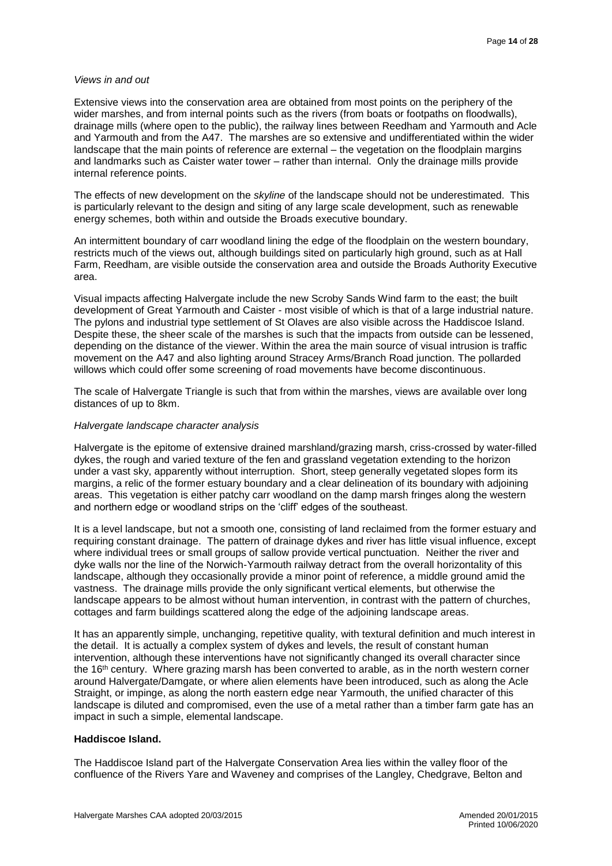#### *Views in and out*

Extensive views into the conservation area are obtained from most points on the periphery of the wider marshes, and from internal points such as the rivers (from boats or footpaths on floodwalls), drainage mills (where open to the public), the railway lines between Reedham and Yarmouth and Acle and Yarmouth and from the A47. The marshes are so extensive and undifferentiated within the wider landscape that the main points of reference are external – the vegetation on the floodplain margins and landmarks such as Caister water tower – rather than internal. Only the drainage mills provide internal reference points.

The effects of new development on the *skyline* of the landscape should not be underestimated. This is particularly relevant to the design and siting of any large scale development, such as renewable energy schemes, both within and outside the Broads executive boundary.

An intermittent boundary of carr woodland lining the edge of the floodplain on the western boundary, restricts much of the views out, although buildings sited on particularly high ground, such as at Hall Farm, Reedham, are visible outside the conservation area and outside the Broads Authority Executive area.

Visual impacts affecting Halvergate include the new Scroby Sands Wind farm to the east; the built development of Great Yarmouth and Caister - most visible of which is that of a large industrial nature. The pylons and industrial type settlement of St Olaves are also visible across the Haddiscoe Island. Despite these, the sheer scale of the marshes is such that the impacts from outside can be lessened, depending on the distance of the viewer. Within the area the main source of visual intrusion is traffic movement on the A47 and also lighting around Stracey Arms/Branch Road junction. The pollarded willows which could offer some screening of road movements have become discontinuous.

The scale of Halvergate Triangle is such that from within the marshes, views are available over long distances of up to 8km.

#### *Halvergate landscape character analysis*

Halvergate is the epitome of extensive drained marshland/grazing marsh, criss-crossed by water-filled dykes, the rough and varied texture of the fen and grassland vegetation extending to the horizon under a vast sky, apparently without interruption. Short, steep generally vegetated slopes form its margins, a relic of the former estuary boundary and a clear delineation of its boundary with adjoining areas. This vegetation is either patchy carr woodland on the damp marsh fringes along the western and northern edge or woodland strips on the 'cliff' edges of the southeast.

It is a level landscape, but not a smooth one, consisting of land reclaimed from the former estuary and requiring constant drainage. The pattern of drainage dykes and river has little visual influence, except where individual trees or small groups of sallow provide vertical punctuation. Neither the river and dyke walls nor the line of the Norwich-Yarmouth railway detract from the overall horizontality of this landscape, although they occasionally provide a minor point of reference, a middle ground amid the vastness. The drainage mills provide the only significant vertical elements, but otherwise the landscape appears to be almost without human intervention, in contrast with the pattern of churches, cottages and farm buildings scattered along the edge of the adjoining landscape areas.

It has an apparently simple, unchanging, repetitive quality, with textural definition and much interest in the detail. It is actually a complex system of dykes and levels, the result of constant human intervention, although these interventions have not significantly changed its overall character since the 16th century. Where grazing marsh has been converted to arable, as in the north western corner around Halvergate/Damgate, or where alien elements have been introduced, such as along the Acle Straight, or impinge, as along the north eastern edge near Yarmouth, the unified character of this landscape is diluted and compromised, even the use of a metal rather than a timber farm gate has an impact in such a simple, elemental landscape.

#### **Haddiscoe Island.**

The Haddiscoe Island part of the Halvergate Conservation Area lies within the valley floor of the confluence of the Rivers Yare and Waveney and comprises of the Langley, Chedgrave, Belton and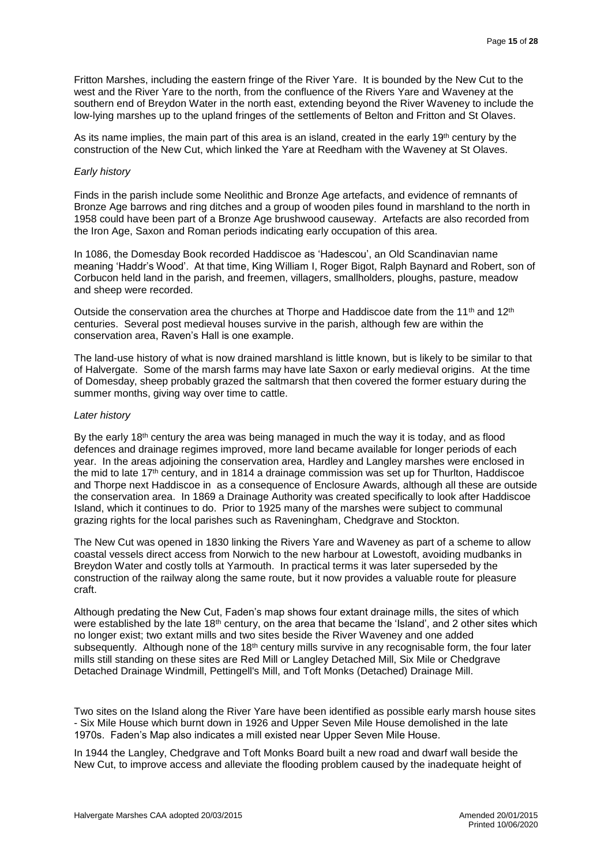Fritton Marshes, including the eastern fringe of the River Yare. It is bounded by the New Cut to the west and the River Yare to the north, from the confluence of the Rivers Yare and Waveney at the southern end of Breydon Water in the north east, extending beyond the River Waveney to include the low-lying marshes up to the upland fringes of the settlements of Belton and Fritton and St Olaves.

As its name implies, the main part of this area is an island, created in the early 19<sup>th</sup> century by the construction of the New Cut, which linked the Yare at Reedham with the Waveney at St Olaves.

#### *Early history*

Finds in the parish include some Neolithic and Bronze Age artefacts, and evidence of remnants of Bronze Age barrows and ring ditches and a group of wooden piles found in marshland to the north in 1958 could have been part of a Bronze Age brushwood causeway. Artefacts are also recorded from the Iron Age, Saxon and Roman periods indicating early occupation of this area.

In 1086, the Domesday Book recorded Haddiscoe as 'Hadescou', an Old Scandinavian name meaning 'Haddr's Wood'. At that time, King William I, Roger Bigot, Ralph Baynard and Robert, son of Corbucon held land in the parish, and freemen, villagers, smallholders, ploughs, pasture, meadow and sheep were recorded.

Outside the conservation area the churches at Thorpe and Haddiscoe date from the 11<sup>th</sup> and 12<sup>th</sup> centuries. Several post medieval houses survive in the parish, although few are within the conservation area, Raven's Hall is one example.

The land-use history of what is now drained marshland is little known, but is likely to be similar to that of Halvergate. Some of the marsh farms may have late Saxon or early medieval origins. At the time of Domesday, sheep probably grazed the saltmarsh that then covered the former estuary during the summer months, giving way over time to cattle.

#### *Later history*

By the early 18<sup>th</sup> century the area was being managed in much the way it is today, and as flood defences and drainage regimes improved, more land became available for longer periods of each year. In the areas adjoining the conservation area, Hardley and Langley marshes were enclosed in the mid to late 17th century, and in 1814 a drainage commission was set up for Thurlton, Haddiscoe and Thorpe next Haddiscoe in as a consequence of Enclosure Awards, although all these are outside the conservation area. In 1869 a Drainage Authority was created specifically to look after Haddiscoe Island, which it continues to do. Prior to 1925 many of the marshes were subject to communal grazing rights for the local parishes such as Raveningham, Chedgrave and Stockton.

The New Cut was opened in 1830 linking the Rivers Yare and Waveney as part of a scheme to allow coastal vessels direct access from Norwich to the new harbour at Lowestoft, avoiding mudbanks in Breydon Water and costly tolls at Yarmouth. In practical terms it was later superseded by the construction of the railway along the same route, but it now provides a valuable route for pleasure craft.

Although predating the New Cut, Faden's map shows four extant drainage mills, the sites of which were established by the late 18<sup>th</sup> century, on the area that became the 'Island', and 2 other sites which no longer exist; two extant mills and two sites beside the River Waveney and one added subsequently. Although none of the 18<sup>th</sup> century mills survive in any recognisable form, the four later mills still standing on these sites are Red Mill or Langley Detached Mill, Six Mile or Chedgrave Detached Drainage Windmill, Pettingell's Mill, and Toft Monks (Detached) Drainage Mill.

Two sites on the Island along the River Yare have been identified as possible early marsh house sites - Six Mile House which burnt down in 1926 and Upper Seven Mile House demolished in the late 1970s. Faden's Map also indicates a mill existed near Upper Seven Mile House.

In 1944 the Langley, Chedgrave and Toft Monks Board built a new road and dwarf wall beside the New Cut, to improve access and alleviate the flooding problem caused by the inadequate height of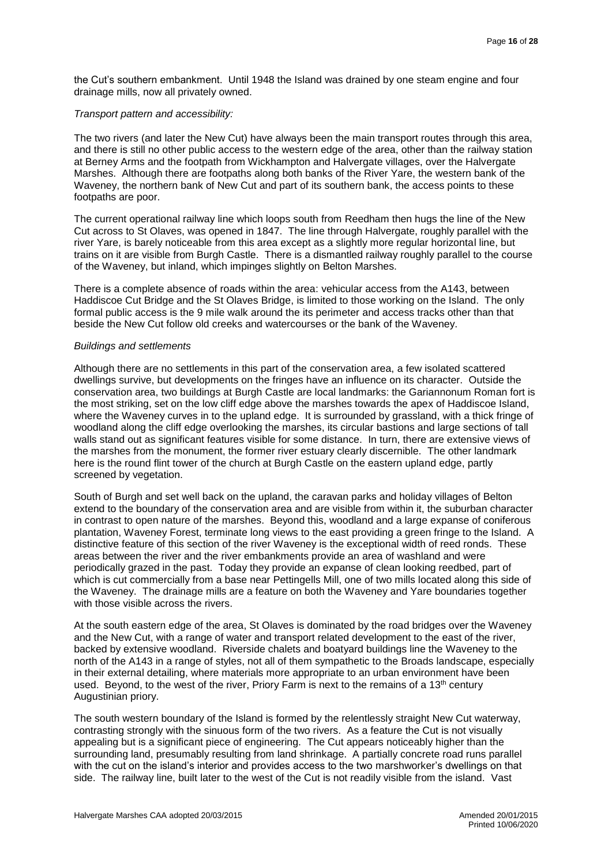the Cut's southern embankment. Until 1948 the Island was drained by one steam engine and four drainage mills, now all privately owned.

#### *Transport pattern and accessibility:*

The two rivers (and later the New Cut) have always been the main transport routes through this area, and there is still no other public access to the western edge of the area, other than the railway station at Berney Arms and the footpath from Wickhampton and Halvergate villages, over the Halvergate Marshes. Although there are footpaths along both banks of the River Yare, the western bank of the Waveney, the northern bank of New Cut and part of its southern bank, the access points to these footpaths are poor.

The current operational railway line which loops south from Reedham then hugs the line of the New Cut across to St Olaves, was opened in 1847. The line through Halvergate, roughly parallel with the river Yare, is barely noticeable from this area except as a slightly more regular horizontal line, but trains on it are visible from Burgh Castle. There is a dismantled railway roughly parallel to the course of the Waveney, but inland, which impinges slightly on Belton Marshes.

There is a complete absence of roads within the area: vehicular access from the A143, between Haddiscoe Cut Bridge and the St Olaves Bridge, is limited to those working on the Island. The only formal public access is the 9 mile walk around the its perimeter and access tracks other than that beside the New Cut follow old creeks and watercourses or the bank of the Waveney.

#### *Buildings and settlements*

Although there are no settlements in this part of the conservation area, a few isolated scattered dwellings survive, but developments on the fringes have an influence on its character. Outside the conservation area, two buildings at Burgh Castle are local landmarks: the Gariannonum Roman fort is the most striking, set on the low cliff edge above the marshes towards the apex of Haddiscoe Island, where the Waveney curves in to the upland edge. It is surrounded by grassland, with a thick fringe of woodland along the cliff edge overlooking the marshes, its circular bastions and large sections of tall walls stand out as significant features visible for some distance. In turn, there are extensive views of the marshes from the monument, the former river estuary clearly discernible. The other landmark here is the round flint tower of the church at Burgh Castle on the eastern upland edge, partly screened by vegetation.

South of Burgh and set well back on the upland, the caravan parks and holiday villages of Belton extend to the boundary of the conservation area and are visible from within it, the suburban character in contrast to open nature of the marshes. Beyond this, woodland and a large expanse of coniferous plantation, Waveney Forest, terminate long views to the east providing a green fringe to the Island. A distinctive feature of this section of the river Waveney is the exceptional width of reed ronds. These areas between the river and the river embankments provide an area of washland and were periodically grazed in the past. Today they provide an expanse of clean looking reedbed, part of which is cut commercially from a base near Pettingells Mill, one of two mills located along this side of the Waveney. The drainage mills are a feature on both the Waveney and Yare boundaries together with those visible across the rivers.

At the south eastern edge of the area, St Olaves is dominated by the road bridges over the Waveney and the New Cut, with a range of water and transport related development to the east of the river, backed by extensive woodland. Riverside chalets and boatyard buildings line the Waveney to the north of the A143 in a range of styles, not all of them sympathetic to the Broads landscape, especially in their external detailing, where materials more appropriate to an urban environment have been used. Beyond, to the west of the river. Priory Farm is next to the remains of a 13<sup>th</sup> century Augustinian priory.

The south western boundary of the Island is formed by the relentlessly straight New Cut waterway, contrasting strongly with the sinuous form of the two rivers. As a feature the Cut is not visually appealing but is a significant piece of engineering. The Cut appears noticeably higher than the surrounding land, presumably resulting from land shrinkage. A partially concrete road runs parallel with the cut on the island's interior and provides access to the two marshworker's dwellings on that side. The railway line, built later to the west of the Cut is not readily visible from the island. Vast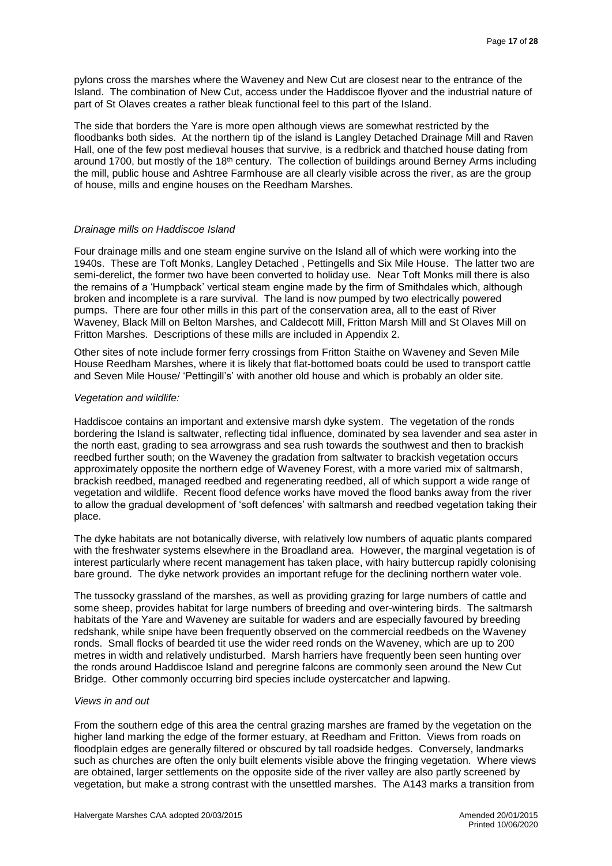pylons cross the marshes where the Waveney and New Cut are closest near to the entrance of the Island. The combination of New Cut, access under the Haddiscoe flyover and the industrial nature of part of St Olaves creates a rather bleak functional feel to this part of the Island.

The side that borders the Yare is more open although views are somewhat restricted by the floodbanks both sides. At the northern tip of the island is Langley Detached Drainage Mill and Raven Hall, one of the few post medieval houses that survive, is a redbrick and thatched house dating from around 1700, but mostly of the 18<sup>th</sup> century. The collection of buildings around Berney Arms including the mill, public house and Ashtree Farmhouse are all clearly visible across the river, as are the group of house, mills and engine houses on the Reedham Marshes.

#### *Drainage mills on Haddiscoe Island*

Four drainage mills and one steam engine survive on the Island all of which were working into the 1940s. These are Toft Monks, Langley Detached , Pettingells and Six Mile House. The latter two are semi-derelict, the former two have been converted to holiday use. Near Toft Monks mill there is also the remains of a 'Humpback' vertical steam engine made by the firm of Smithdales which, although broken and incomplete is a rare survival. The land is now pumped by two electrically powered pumps. There are four other mills in this part of the conservation area, all to the east of River Waveney, Black Mill on Belton Marshes, and Caldecott Mill, Fritton Marsh Mill and St Olaves Mill on Fritton Marshes. Descriptions of these mills are included in Appendix 2.

Other sites of note include former ferry crossings from Fritton Staithe on Waveney and Seven Mile House Reedham Marshes, where it is likely that flat-bottomed boats could be used to transport cattle and Seven Mile House/ 'Pettingill's' with another old house and which is probably an older site.

#### *Vegetation and wildlife:*

Haddiscoe contains an important and extensive marsh dyke system. The vegetation of the ronds bordering the Island is saltwater, reflecting tidal influence, dominated by sea lavender and sea aster in the north east, grading to sea arrowgrass and sea rush towards the southwest and then to brackish reedbed further south; on the Waveney the gradation from saltwater to brackish vegetation occurs approximately opposite the northern edge of Waveney Forest, with a more varied mix of saltmarsh, brackish reedbed, managed reedbed and regenerating reedbed, all of which support a wide range of vegetation and wildlife. Recent flood defence works have moved the flood banks away from the river to allow the gradual development of 'soft defences' with saltmarsh and reedbed vegetation taking their place.

The dyke habitats are not botanically diverse, with relatively low numbers of aquatic plants compared with the freshwater systems elsewhere in the Broadland area. However, the marginal vegetation is of interest particularly where recent management has taken place, with hairy buttercup rapidly colonising bare ground. The dyke network provides an important refuge for the declining northern water vole.

The tussocky grassland of the marshes, as well as providing grazing for large numbers of cattle and some sheep, provides habitat for large numbers of breeding and over-wintering birds. The saltmarsh habitats of the Yare and Waveney are suitable for waders and are especially favoured by breeding redshank, while snipe have been frequently observed on the commercial reedbeds on the Waveney ronds. Small flocks of bearded tit use the wider reed ronds on the Waveney, which are up to 200 metres in width and relatively undisturbed. Marsh harriers have frequently been seen hunting over the ronds around Haddiscoe Island and peregrine falcons are commonly seen around the New Cut Bridge. Other commonly occurring bird species include oystercatcher and lapwing.

#### *Views in and out*

From the southern edge of this area the central grazing marshes are framed by the vegetation on the higher land marking the edge of the former estuary, at Reedham and Fritton. Views from roads on floodplain edges are generally filtered or obscured by tall roadside hedges. Conversely, landmarks such as churches are often the only built elements visible above the fringing vegetation. Where views are obtained, larger settlements on the opposite side of the river valley are also partly screened by vegetation, but make a strong contrast with the unsettled marshes. The A143 marks a transition from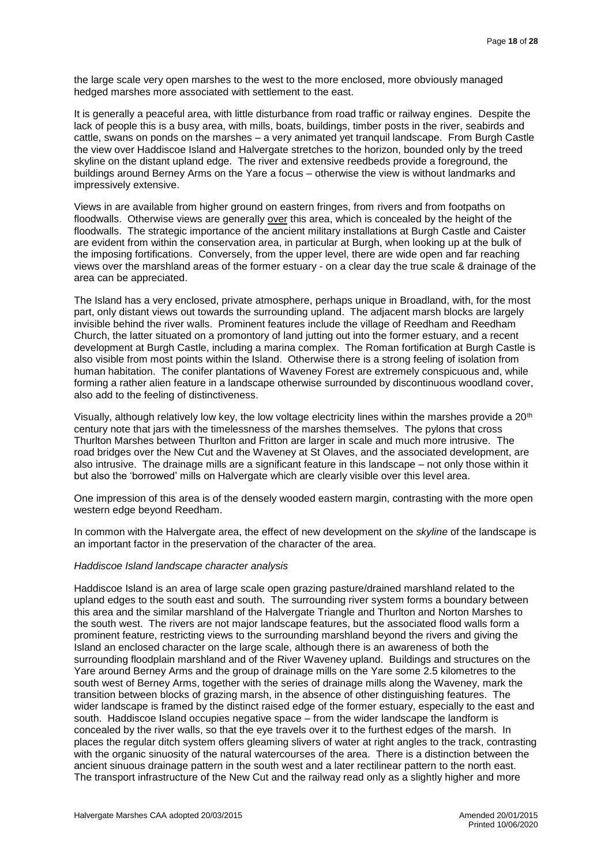the large scale very open marshes to the west to the more enclosed, more obviously managed hedged marshes more associated with settlement to the east.

It is generally a peaceful area, with little disturbance from road traffic or railway engines. Despite the lack of people this is a busy area, with mills, boats, buildings, timber posts in the river, seabirds and cattle, swans on ponds on the marshes – a very animated yet tranquil landscape. From Burgh Castle the view over Haddiscoe Island and Halvergate stretches to the horizon, bounded only by the treed skyline on the distant upland edge. The river and extensive reedbeds provide a foreground, the buildings around Berney Arms on the Yare a focus – otherwise the view is without landmarks and impressively extensive.

Views in are available from higher ground on eastern fringes, from rivers and from footpaths on floodwalls. Otherwise views are generally over this area, which is concealed by the height of the floodwalls. The strategic importance of the ancient military installations at Burgh Castle and Caister are evident from within the conservation area, in particular at Burgh, when looking up at the bulk of the imposing fortifications. Conversely, from the upper level, there are wide open and far reaching views over the marshland areas of the former estuary - on a clear day the true scale & drainage of the area can be appreciated.

The Island has a very enclosed, private atmosphere, perhaps unique in Broadland, with, for the most part, only distant views out towards the surrounding upland. The adjacent marsh blocks are largely invisible behind the river walls. Prominent features include the village of Reedham and Reedham Church, the latter situated on a promontory of land jutting out into the former estuary, and a recent development at Burgh Castle, including a marina complex. The Roman fortification at Burgh Castle is also visible from most points within the Island. Otherwise there is a strong feeling of isolation from human habitation. The conifer plantations of Waveney Forest are extremely conspicuous and, while forming a rather alien feature in a landscape otherwise surrounded by discontinuous woodland cover, also add to the feeling of distinctiveness.

Visually, although relatively low key, the low voltage electricity lines within the marshes provide a 20<sup>th</sup> century note that jars with the timelessness of the marshes themselves. The pylons that cross Thurlton Marshes between Thurlton and Fritton are larger in scale and much more intrusive. The road bridges over the New Cut and the Waveney at St Olaves, and the associated development, are also intrusive. The drainage mills are a significant feature in this landscape – not only those within it but also the 'borrowed' mills on Halvergate which are clearly visible over this level area.

One impression of this area is of the densely wooded eastern margin, contrasting with the more open western edge beyond Reedham.

In common with the Halvergate area, the effect of new development on the *skyline* of the landscape is an important factor in the preservation of the character of the area.

## *Haddiscoe Island landscape character analysis*

Haddiscoe Island is an area of large scale open grazing pasture/drained marshland related to the upland edges to the south east and south. The surrounding river system forms a boundary between this area and the similar marshland of the Halvergate Triangle and Thurlton and Norton Marshes to the south west. The rivers are not major landscape features, but the associated flood walls form a prominent feature, restricting views to the surrounding marshland beyond the rivers and giving the Island an enclosed character on the large scale, although there is an awareness of both the surrounding floodplain marshland and of the River Waveney upland. Buildings and structures on the Yare around Berney Arms and the group of drainage mills on the Yare some 2.5 kilometres to the south west of Berney Arms, together with the series of drainage mills along the Waveney, mark the transition between blocks of grazing marsh, in the absence of other distinguishing features. The wider landscape is framed by the distinct raised edge of the former estuary, especially to the east and south. Haddiscoe Island occupies negative space – from the wider landscape the landform is concealed by the river walls, so that the eye travels over it to the furthest edges of the marsh. In places the regular ditch system offers gleaming slivers of water at right angles to the track, contrasting with the organic sinuosity of the natural watercourses of the area. There is a distinction between the ancient sinuous drainage pattern in the south west and a later rectilinear pattern to the north east. The transport infrastructure of the New Cut and the railway read only as a slightly higher and more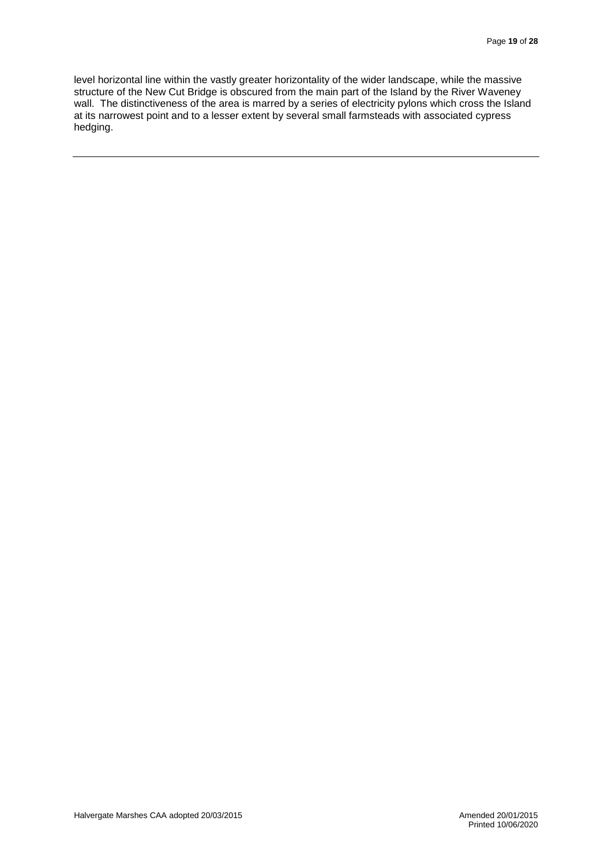level horizontal line within the vastly greater horizontality of the wider landscape, while the massive structure of the New Cut Bridge is obscured from the main part of the Island by the River Waveney wall. The distinctiveness of the area is marred by a series of electricity pylons which cross the Island at its narrowest point and to a lesser extent by several small farmsteads with associated cypress hedging.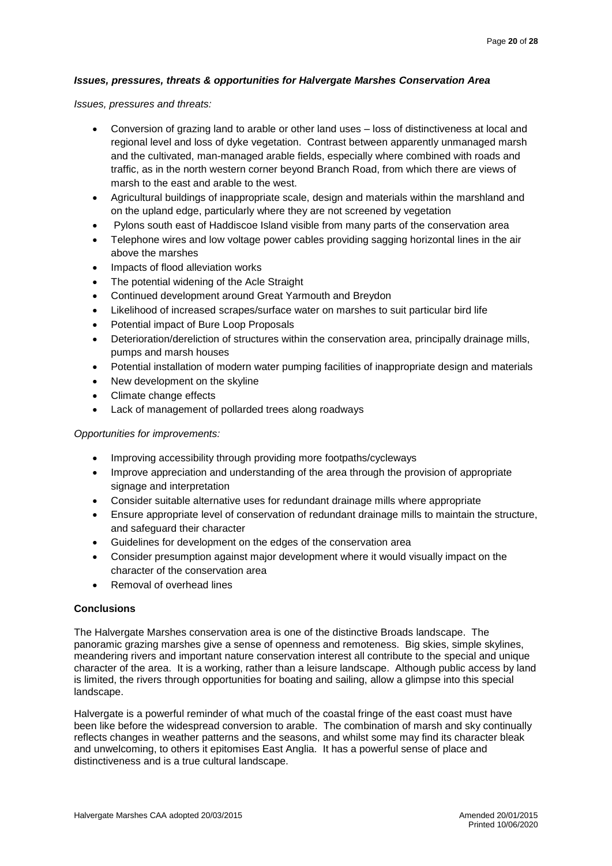# *Issues, pressures, threats & opportunities for Halvergate Marshes Conservation Area*

*Issues, pressures and threats:*

- Conversion of grazing land to arable or other land uses loss of distinctiveness at local and regional level and loss of dyke vegetation. Contrast between apparently unmanaged marsh and the cultivated, man-managed arable fields, especially where combined with roads and traffic, as in the north western corner beyond Branch Road, from which there are views of marsh to the east and arable to the west.
- Agricultural buildings of inappropriate scale, design and materials within the marshland and on the upland edge, particularly where they are not screened by vegetation
- Pylons south east of Haddiscoe Island visible from many parts of the conservation area
- Telephone wires and low voltage power cables providing sagging horizontal lines in the air above the marshes
- Impacts of flood alleviation works
- The potential widening of the Acle Straight
- Continued development around Great Yarmouth and Breydon
- Likelihood of increased scrapes/surface water on marshes to suit particular bird life
- Potential impact of Bure Loop Proposals
- Deterioration/dereliction of structures within the conservation area, principally drainage mills, pumps and marsh houses
- Potential installation of modern water pumping facilities of inappropriate design and materials
- New development on the skyline
- Climate change effects
- Lack of management of pollarded trees along roadways

*Opportunities for improvements:*

- Improving accessibility through providing more footpaths/cycleways
- Improve appreciation and understanding of the area through the provision of appropriate signage and interpretation
- Consider suitable alternative uses for redundant drainage mills where appropriate
- Ensure appropriate level of conservation of redundant drainage mills to maintain the structure, and safeguard their character
- Guidelines for development on the edges of the conservation area
- Consider presumption against major development where it would visually impact on the character of the conservation area
- Removal of overhead lines

# **Conclusions**

The Halvergate Marshes conservation area is one of the distinctive Broads landscape. The panoramic grazing marshes give a sense of openness and remoteness. Big skies, simple skylines, meandering rivers and important nature conservation interest all contribute to the special and unique character of the area. It is a working, rather than a leisure landscape. Although public access by land is limited, the rivers through opportunities for boating and sailing, allow a glimpse into this special landscape.

Halvergate is a powerful reminder of what much of the coastal fringe of the east coast must have been like before the widespread conversion to arable. The combination of marsh and sky continually reflects changes in weather patterns and the seasons, and whilst some may find its character bleak and unwelcoming, to others it epitomises East Anglia. It has a powerful sense of place and distinctiveness and is a true cultural landscape.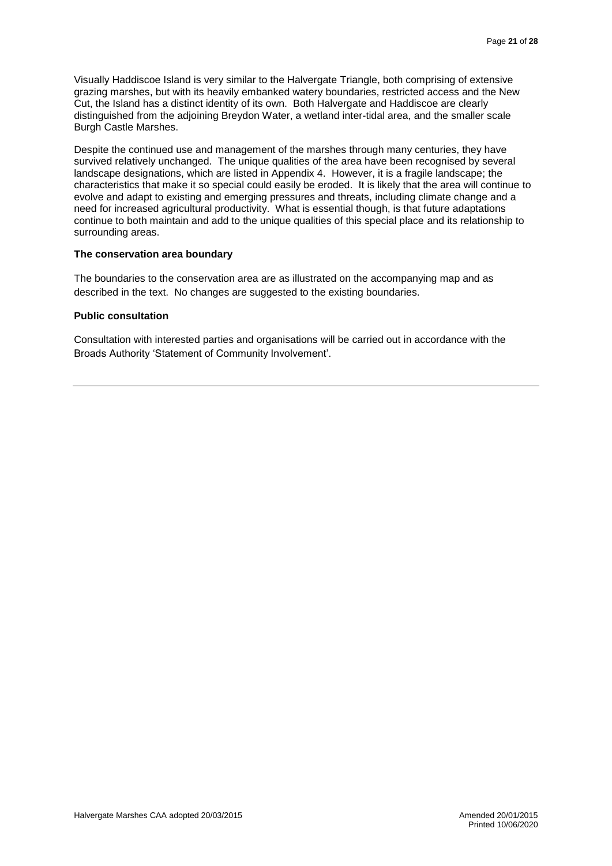Visually Haddiscoe Island is very similar to the Halvergate Triangle, both comprising of extensive grazing marshes, but with its heavily embanked watery boundaries, restricted access and the New Cut, the Island has a distinct identity of its own. Both Halvergate and Haddiscoe are clearly distinguished from the adjoining Breydon Water, a wetland inter-tidal area, and the smaller scale Burgh Castle Marshes.

Despite the continued use and management of the marshes through many centuries, they have survived relatively unchanged. The unique qualities of the area have been recognised by several landscape designations, which are listed in Appendix 4. However, it is a fragile landscape; the characteristics that make it so special could easily be eroded. It is likely that the area will continue to evolve and adapt to existing and emerging pressures and threats, including climate change and a need for increased agricultural productivity. What is essential though, is that future adaptations continue to both maintain and add to the unique qualities of this special place and its relationship to surrounding areas.

#### **The conservation area boundary**

The boundaries to the conservation area are as illustrated on the accompanying map and as described in the text. No changes are suggested to the existing boundaries.

#### **Public consultation**

Consultation with interested parties and organisations will be carried out in accordance with the Broads Authority 'Statement of Community Involvement'.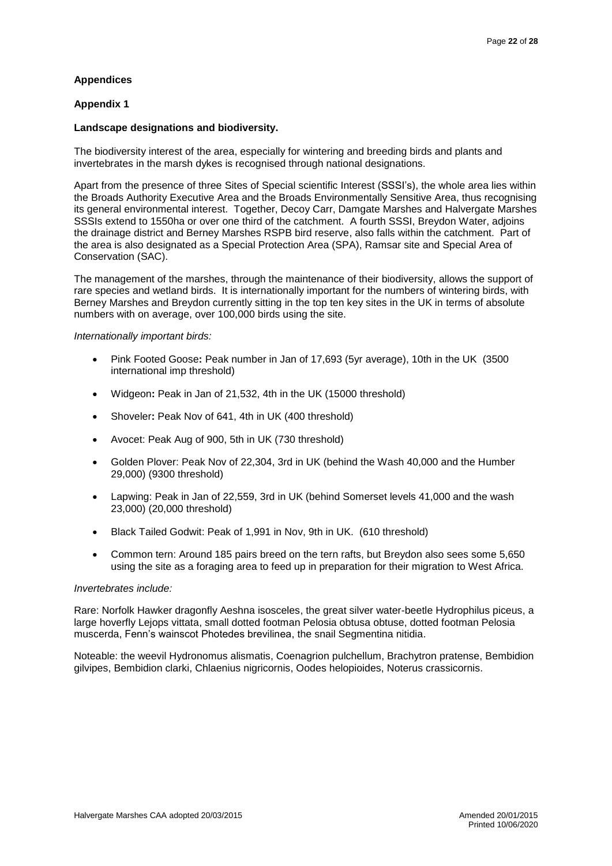# **Appendices**

# **Appendix 1**

## **Landscape designations and biodiversity.**

The biodiversity interest of the area, especially for wintering and breeding birds and plants and invertebrates in the marsh dykes is recognised through national designations.

Apart from the presence of three Sites of Special scientific Interest (SSSI's), the whole area lies within the Broads Authority Executive Area and the Broads Environmentally Sensitive Area, thus recognising its general environmental interest. Together, Decoy Carr, Damgate Marshes and Halvergate Marshes SSSIs extend to 1550ha or over one third of the catchment. A fourth SSSI, Breydon Water, adjoins the drainage district and Berney Marshes RSPB bird reserve, also falls within the catchment. Part of the area is also designated as a Special Protection Area (SPA), Ramsar site and Special Area of Conservation (SAC).

The management of the marshes, through the maintenance of their biodiversity, allows the support of rare species and wetland birds. It is internationally important for the numbers of wintering birds, with Berney Marshes and Breydon currently sitting in the top ten key sites in the UK in terms of absolute numbers with on average, over 100,000 birds using the site.

#### *Internationally important birds:*

- Pink Footed Goose**:** Peak number in Jan of 17,693 (5yr average), 10th in the UK (3500 international imp threshold)
- Widgeon**:** Peak in Jan of 21,532, 4th in the UK (15000 threshold)
- Shoveler**:** Peak Nov of 641, 4th in UK (400 threshold)
- Avocet: Peak Aug of 900, 5th in UK (730 threshold)
- Golden Plover: Peak Nov of 22,304, 3rd in UK (behind the Wash 40,000 and the Humber 29,000) (9300 threshold)
- Lapwing: Peak in Jan of 22,559, 3rd in UK (behind Somerset levels 41,000 and the wash 23,000) (20,000 threshold)
- Black Tailed Godwit: Peak of 1,991 in Nov, 9th in UK. (610 threshold)
- Common tern: Around 185 pairs breed on the tern rafts, but Breydon also sees some 5,650 using the site as a foraging area to feed up in preparation for their migration to West Africa.

## *Invertebrates include:*

Rare: Norfolk Hawker dragonfly Aeshna isosceles, the great silver water-beetle Hydrophilus piceus, a large hoverfly Lejops vittata, small dotted footman Pelosia obtusa obtuse, dotted footman Pelosia muscerda, Fenn's wainscot Photedes brevilinea, the snail Segmentina nitidia.

Noteable: the weevil Hydronomus alismatis, Coenagrion pulchellum, Brachytron pratense, Bembidion gilvipes, Bembidion clarki, Chlaenius nigricornis, Oodes helopioides, Noterus crassicornis.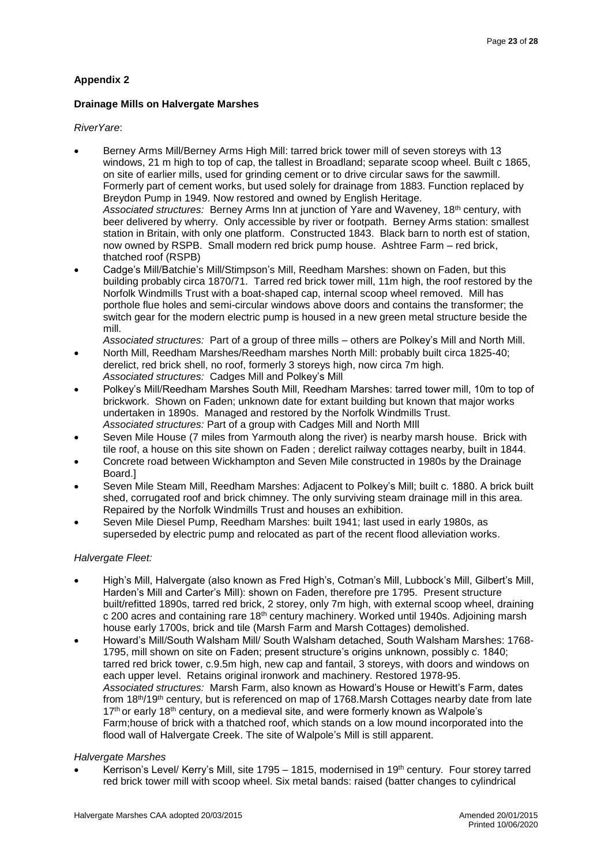# **Appendix 2**

# **Drainage Mills on Halvergate Marshes**

# *RiverYare*:

- Berney Arms Mill/Berney Arms High Mill: tarred brick tower mill of seven storeys with 13 windows, 21 m high to top of cap, the tallest in Broadland; separate scoop wheel. Built c 1865, on site of earlier mills, used for grinding cement or to drive circular saws for the sawmill. Formerly part of cement works, but used solely for drainage from 1883. Function replaced by Breydon Pump in 1949. Now restored and owned by English Heritage. *Associated structures:* Berney Arms Inn at junction of Yare and Waveney, 18th century, with beer delivered by wherry. Only accessible by river or footpath. Berney Arms station: smallest station in Britain, with only one platform. Constructed 1843. Black barn to north est of station, now owned by RSPB. Small modern red brick pump house. Ashtree Farm – red brick, thatched roof (RSPB)
- Cadge's Mill/Batchie's Mill/Stimpson's Mill, Reedham Marshes: shown on Faden, but this building probably circa 1870/71. Tarred red brick tower mill, 11m high, the roof restored by the Norfolk Windmills Trust with a boat-shaped cap, internal scoop wheel removed. Mill has porthole flue holes and semi-circular windows above doors and contains the transformer; the switch gear for the modern electric pump is housed in a new green metal structure beside the mill.

*Associated structures:* Part of a group of three mills – others are Polkey's Mill and North Mill.

- North Mill, Reedham Marshes/Reedham marshes North Mill: probably built circa 1825-40; derelict, red brick shell, no roof, formerly 3 storeys high, now circa 7m high. *Associated structures:* Cadges Mill and Polkey's Mill
- Polkey's Mill/Reedham Marshes South Mill, Reedham Marshes: tarred tower mill, 10m to top of brickwork. Shown on Faden; unknown date for extant building but known that major works undertaken in 1890s. Managed and restored by the Norfolk Windmills Trust. *Associated structures:* Part of a group with Cadges Mill and North MIll
- Seven Mile House (7 miles from Yarmouth along the river) is nearby marsh house. Brick with tile roof, a house on this site shown on Faden ; derelict railway cottages nearby, built in 1844.
- Concrete road between Wickhampton and Seven Mile constructed in 1980s by the Drainage Board.]
- Seven Mile Steam Mill, Reedham Marshes: Adjacent to Polkey's Mill; built c. 1880. A brick built shed, corrugated roof and brick chimney. The only surviving steam drainage mill in this area. Repaired by the Norfolk Windmills Trust and houses an exhibition.
- Seven Mile Diesel Pump, Reedham Marshes: built 1941; last used in early 1980s, as superseded by electric pump and relocated as part of the recent flood alleviation works.

# *Halvergate Fleet:*

- High's Mill, Halvergate (also known as Fred High's, Cotman's Mill, Lubbock's Mill, Gilbert's Mill, Harden's Mill and Carter's Mill): shown on Faden, therefore pre 1795. Present structure built/refitted 1890s, tarred red brick, 2 storey, only 7m high, with external scoop wheel, draining c 200 acres and containing rare 18th century machinery. Worked until 1940s. Adjoining marsh house early 1700s, brick and tile (Marsh Farm and Marsh Cottages) demolished.
- Howard's Mill/South Walsham Mill/ South Walsham detached, South Walsham Marshes: 1768- 1795, mill shown on site on Faden; present structure's origins unknown, possibly c. 1840; tarred red brick tower, c.9.5m high, new cap and fantail, 3 storeys, with doors and windows on each upper level. Retains original ironwork and machinery. Restored 1978-95. *Associated structures:* Marsh Farm, also known as Howard's House or Hewitt's Farm, dates from 18<sup>th</sup>/19<sup>th</sup> century, but is referenced on map of 1768.Marsh Cottages nearby date from late 17<sup>th</sup> or early 18<sup>th</sup> century, on a medieval site, and were formerly known as Walpole's Farm;house of brick with a thatched roof, which stands on a low mound incorporated into the flood wall of Halvergate Creek. The site of Walpole's Mill is still apparent.

## *Halvergate Marshes*

Kerrison's Level/ Kerry's Mill, site 1795 – 1815, modernised in 19<sup>th</sup> century. Four storey tarred red brick tower mill with scoop wheel. Six metal bands: raised (batter changes to cylindrical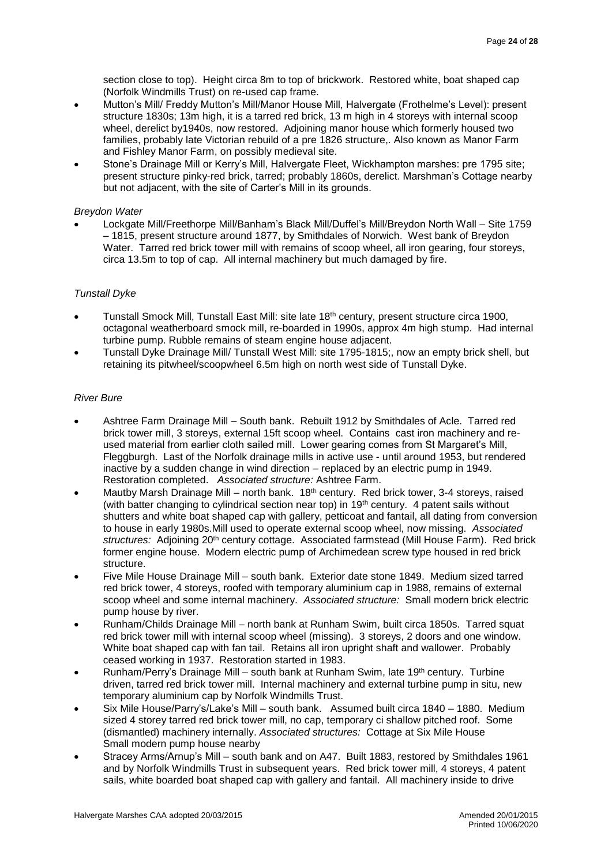section close to top). Height circa 8m to top of brickwork. Restored white, boat shaped cap (Norfolk Windmills Trust) on re-used cap frame.

- Mutton's Mill/ Freddy Mutton's Mill/Manor House Mill, Halvergate (Frothelme's Level): present structure 1830s; 13m high, it is a tarred red brick, 13 m high in 4 storeys with internal scoop wheel, derelict by1940s, now restored. Adjoining manor house which formerly housed two families, probably late Victorian rebuild of a pre 1826 structure,. Also known as Manor Farm and Fishley Manor Farm, on possibly medieval site.
- Stone's Drainage Mill or Kerry's Mill, Halvergate Fleet, Wickhampton marshes: pre 1795 site; present structure pinky-red brick, tarred; probably 1860s, derelict. Marshman's Cottage nearby but not adjacent, with the site of Carter's Mill in its grounds.

## *Breydon Water*

 Lockgate Mill/Freethorpe Mill/Banham's Black Mill/Duffel's Mill/Breydon North Wall – Site 1759 – 1815, present structure around 1877, by Smithdales of Norwich. West bank of Breydon Water. Tarred red brick tower mill with remains of scoop wheel, all iron gearing, four storeys, circa 13.5m to top of cap. All internal machinery but much damaged by fire.

## *Tunstall Dyke*

- Tunstall Smock Mill, Tunstall East Mill: site late 18<sup>th</sup> century, present structure circa 1900, octagonal weatherboard smock mill, re-boarded in 1990s, approx 4m high stump. Had internal turbine pump. Rubble remains of steam engine house adjacent.
- Tunstall Dyke Drainage Mill/ Tunstall West Mill: site 1795-1815;, now an empty brick shell, but retaining its pitwheel/scoopwheel 6.5m high on north west side of Tunstall Dyke.

#### *River Bure*

- Ashtree Farm Drainage Mill South bank. Rebuilt 1912 by Smithdales of Acle. Tarred red brick tower mill, 3 storeys, external 15ft scoop wheel. Contains cast iron machinery and reused material from earlier cloth sailed mill. Lower gearing comes from St Margaret's Mill, Fleggburgh. Last of the Norfolk drainage mills in active use - until around 1953, but rendered inactive by a sudden change in wind direction – replaced by an electric pump in 1949. Restoration completed. *Associated structure:* Ashtree Farm.
- Mautby Marsh Drainage Mill north bank.  $18<sup>th</sup>$  century. Red brick tower, 3-4 storeys, raised (with batter changing to cylindrical section near top) in 19<sup>th</sup> century. 4 patent sails without shutters and white boat shaped cap with gallery, petticoat and fantail, all dating from conversion to house in early 1980s.Mill used to operate external scoop wheel, now missing. *Associated structures:* Adjoining 20th century cottage. Associated farmstead (Mill House Farm). Red brick former engine house. Modern electric pump of Archimedean screw type housed in red brick structure.
- Five Mile House Drainage Mill south bank. Exterior date stone 1849. Medium sized tarred red brick tower, 4 storeys, roofed with temporary aluminium cap in 1988, remains of external scoop wheel and some internal machinery. *Associated structure:* Small modern brick electric pump house by river.
- Runham/Childs Drainage Mill north bank at Runham Swim, built circa 1850s. Tarred squat red brick tower mill with internal scoop wheel (missing). 3 storeys, 2 doors and one window. White boat shaped cap with fan tail. Retains all iron upright shaft and wallower. Probably ceased working in 1937. Restoration started in 1983.
- Runham/Perry's Drainage Mill south bank at Runham Swim, late 19th century. Turbine driven, tarred red brick tower mill. Internal machinery and external turbine pump in situ, new temporary aluminium cap by Norfolk Windmills Trust.
- Six Mile House/Parry's/Lake's Mill south bank. Assumed built circa 1840 1880. Medium sized 4 storey tarred red brick tower mill, no cap, temporary ci shallow pitched roof. Some (dismantled) machinery internally. *Associated structures:* Cottage at Six Mile House Small modern pump house nearby
- Stracey Arms/Arnup's Mill south bank and on A47. Built 1883, restored by Smithdales 1961 and by Norfolk Windmills Trust in subsequent years. Red brick tower mill, 4 storeys, 4 patent sails, white boarded boat shaped cap with gallery and fantail. All machinery inside to drive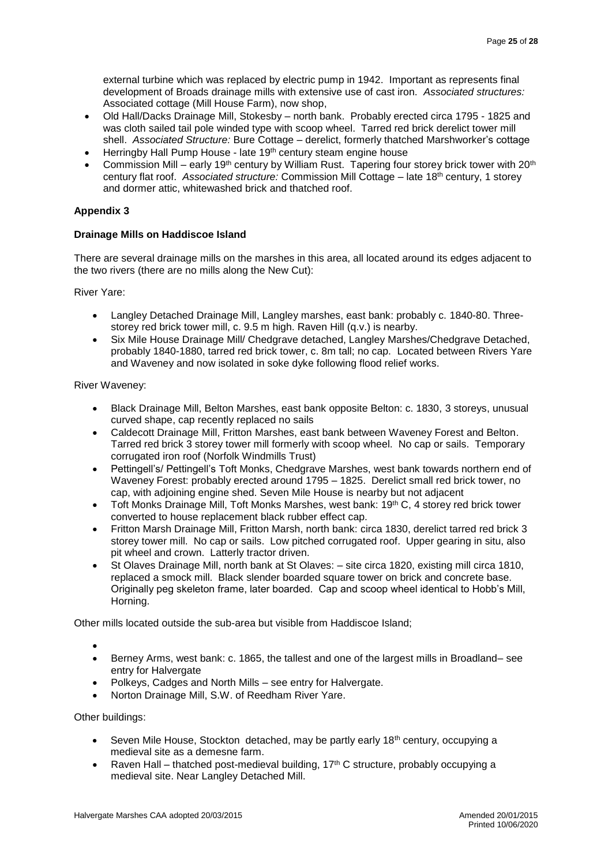external turbine which was replaced by electric pump in 1942. Important as represents final development of Broads drainage mills with extensive use of cast iron. *Associated structures:* Associated cottage (Mill House Farm), now shop,

- Old Hall/Dacks Drainage Mill, Stokesby north bank. Probably erected circa 1795 1825 and was cloth sailed tail pole winded type with scoop wheel. Tarred red brick derelict tower mill shell. *Associated Structure:* Bure Cottage – derelict, formerly thatched Marshworker's cottage
- Herringby Hall Pump House late 19<sup>th</sup> century steam engine house
- Commission Mill early 19<sup>th</sup> century by William Rust. Tapering four storey brick tower with 20<sup>th</sup> century flat roof. *Associated structure:* Commission Mill Cottage – late 18th century, 1 storey and dormer attic, whitewashed brick and thatched roof.

# **Appendix 3**

# **Drainage Mills on Haddiscoe Island**

There are several drainage mills on the marshes in this area, all located around its edges adjacent to the two rivers (there are no mills along the New Cut):

River Yare:

- Langley Detached Drainage Mill, Langley marshes, east bank: probably c. 1840-80. Threestorey red brick tower mill, c. 9.5 m high. Raven Hill (q.v.) is nearby.
- Six Mile House Drainage Mill/ Chedgrave detached, Langley Marshes/Chedgrave Detached, probably 1840-1880, tarred red brick tower, c. 8m tall; no cap. Located between Rivers Yare and Waveney and now isolated in soke dyke following flood relief works.

River Waveney:

- Black Drainage Mill, Belton Marshes, east bank opposite Belton: c. 1830, 3 storeys, unusual curved shape, cap recently replaced no sails
- Caldecott Drainage Mill, Fritton Marshes, east bank between Waveney Forest and Belton. Tarred red brick 3 storey tower mill formerly with scoop wheel. No cap or sails. Temporary corrugated iron roof (Norfolk Windmills Trust)
- Pettingell's/ Pettingell's Toft Monks, Chedgrave Marshes, west bank towards northern end of Waveney Forest: probably erected around 1795 – 1825. Derelict small red brick tower, no cap, with adjoining engine shed. Seven Mile House is nearby but not adjacent
- Toft Monks Drainage Mill, Toft Monks Marshes, west bank: 19th C, 4 storey red brick tower converted to house replacement black rubber effect cap.
- Fritton Marsh Drainage Mill, Fritton Marsh, north bank: circa 1830, derelict tarred red brick 3 storey tower mill. No cap or sails. Low pitched corrugated roof. Upper gearing in situ, also pit wheel and crown. Latterly tractor driven.
- St Olaves Drainage Mill, north bank at St Olaves: site circa 1820, existing mill circa 1810, replaced a smock mill. Black slender boarded square tower on brick and concrete base. Originally peg skeleton frame, later boarded. Cap and scoop wheel identical to Hobb's Mill, Horning.

Other mills located outside the sub-area but visible from Haddiscoe Island;

- $\bullet$
- Berney Arms, west bank: c. 1865, the tallest and one of the largest mills in Broadland– see entry for Halvergate
- Polkeys, Cadges and North Mills see entry for Halvergate.
- Norton Drainage Mill, S.W. of Reedham River Yare.

Other buildings:

- **Seven Mile House, Stockton detached, may be partly early 18th century, occupying a** medieval site as a demesne farm.
- Raven Hall thatched post-medieval building,  $17<sup>th</sup>$  C structure, probably occupying a medieval site. Near Langley Detached Mill.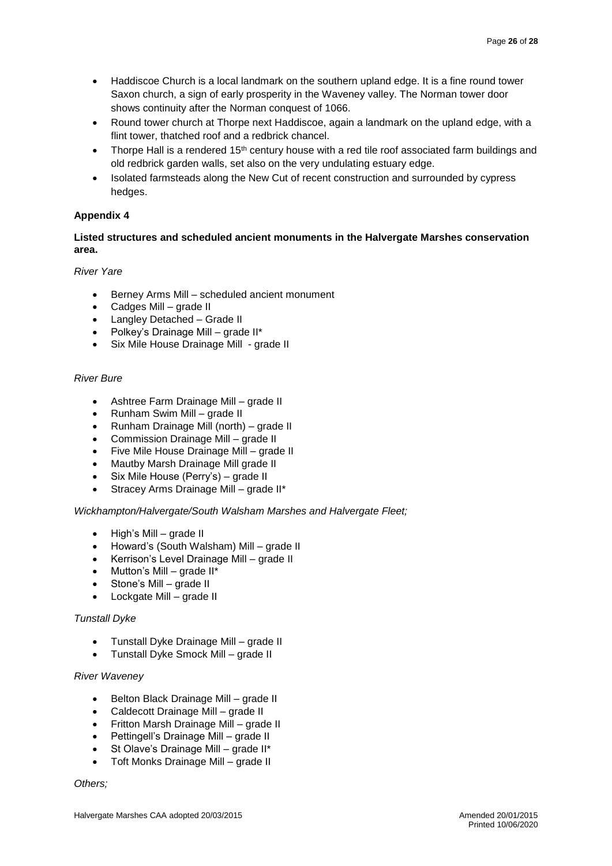- Haddiscoe Church is a local landmark on the southern upland edge. It is a fine round tower Saxon church, a sign of early prosperity in the Waveney valley. The Norman tower door shows continuity after the Norman conquest of 1066.
- Round tower church at Thorpe next Haddiscoe, again a landmark on the upland edge, with a flint tower, thatched roof and a redbrick chancel.
- Thorpe Hall is a rendered 15<sup>th</sup> century house with a red tile roof associated farm buildings and old redbrick garden walls, set also on the very undulating estuary edge.
- Isolated farmsteads along the New Cut of recent construction and surrounded by cypress hedges.

# **Appendix 4**

# **Listed structures and scheduled ancient monuments in the Halvergate Marshes conservation area.**

# *River Yare*

- Berney Arms Mill scheduled ancient monument
- Cadges Mill grade II
- Langley Detached Grade II
- Polkey's Drainage Mill grade II\*
- Six Mile House Drainage Mill grade II

# *River Bure*

- Ashtree Farm Drainage Mill grade II
- Runham Swim Mill grade II
- Runham Drainage Mill (north) grade II
- Commission Drainage Mill grade II
- Five Mile House Drainage Mill grade II
- Mautby Marsh Drainage Mill grade II
- Six Mile House (Perry's) grade II
- Stracey Arms Drainage Mill grade II\*

# *Wickhampton/Halvergate/South Walsham Marshes and Halvergate Fleet;*

- High's Mill grade II
- Howard's (South Walsham) Mill grade II
- Kerrison's Level Drainage Mill grade II
- $\bullet$  Mutton's Mill grade II\*
- Stone's Mill grade II
- Lockgate Mill grade II

# *Tunstall Dyke*

- Tunstall Dyke Drainage Mill grade II
- Tunstall Dyke Smock Mill grade II

# *River Waveney*

- **Belton Black Drainage Mill grade II**
- Caldecott Drainage Mill grade II
- Fritton Marsh Drainage Mill grade II
- Pettingell's Drainage Mill grade II
- St Olave's Drainage Mill grade II\*
- Toft Monks Drainage Mill grade II

## *Others;*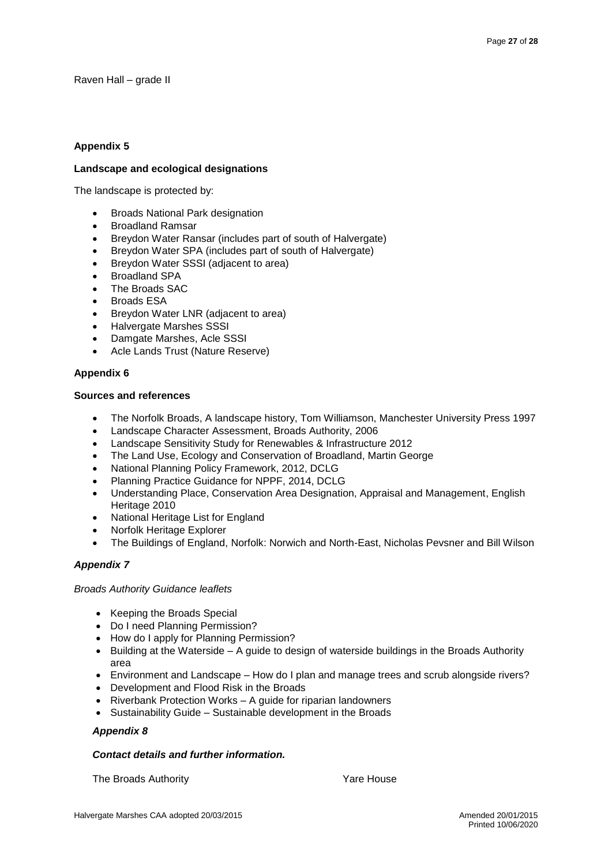Raven Hall – grade II

# **Appendix 5**

# **Landscape and ecological designations**

The landscape is protected by:

- Broads National Park designation
- Broadland Ramsar
- Breydon Water Ransar (includes part of south of Halvergate)
- Breydon Water SPA (includes part of south of Halvergate)
- Breydon Water SSSI (adjacent to area)
- Broadland SPA
- The Broads SAC
- Broads ESA
- Breydon Water LNR (adjacent to area)
- Halvergate Marshes SSSI
- Damgate Marshes, Acle SSSI
- Acle Lands Trust (Nature Reserve)

# **Appendix 6**

#### **Sources and references**

- The Norfolk Broads, A landscape history, Tom Williamson, Manchester University Press 1997
- Landscape Character Assessment, Broads Authority, 2006
- Landscape Sensitivity Study for Renewables & Infrastructure 2012
- The Land Use, Ecology and Conservation of Broadland, Martin George
- National Planning Policy Framework, 2012, DCLG
- Planning Practice Guidance for NPPF, 2014, DCLG
- Understanding Place, Conservation Area Designation, Appraisal and Management, English Heritage 2010
- National Heritage List for England
- Norfolk Heritage Explorer
- The Buildings of England, Norfolk: Norwich and North-East, Nicholas Pevsner and Bill Wilson

## *Appendix 7*

*Broads Authority Guidance leaflets*

- Keeping the Broads Special
- Do I need Planning Permission?
- How do I apply for Planning Permission?
- Building at the Waterside A guide to design of waterside buildings in the Broads Authority area
- Environment and Landscape How do I plan and manage trees and scrub alongside rivers?
- Development and Flood Risk in the Broads
- Riverbank Protection Works A guide for riparian landowners
- Sustainability Guide Sustainable development in the Broads

## *Appendix 8*

## *Contact details and further information.*

The Broads Authority The Broads Authority